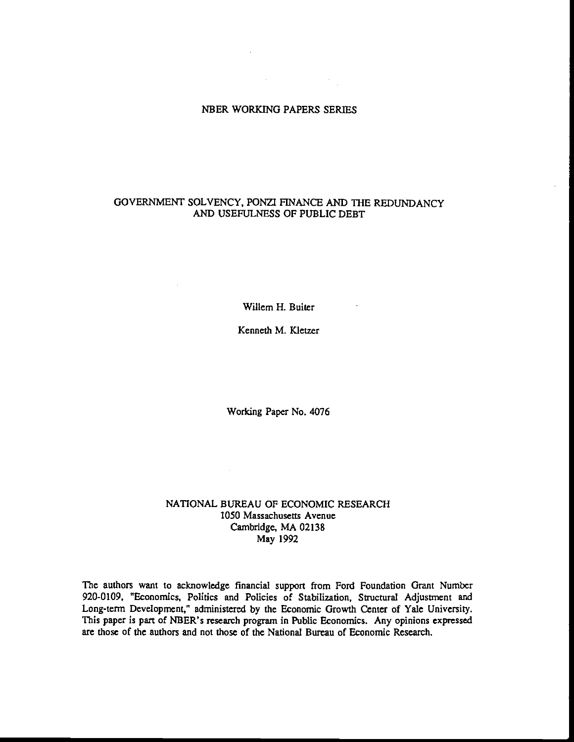# NBER WORKING PAPERS SERIES

 $\label{eq:2.1} \frac{1}{\sqrt{2}}\int_{\mathbb{R}^3}\frac{1}{\sqrt{2}}\left(\frac{1}{\sqrt{2}}\right)^2\left(\frac{1}{\sqrt{2}}\right)^2\frac{1}{\sqrt{2}}\left(\frac{1}{\sqrt{2}}\right)^2\frac{1}{\sqrt{2}}\left(\frac{1}{\sqrt{2}}\right)^2.$ 

## GOVERNMENT SOLVENCY, PONZI FINANCE AND THE REDUNDANCY AND USEFULNESS OF PUBLIC DEBT

Wilem H. Buiter

Kenneth M. Kletzer

Working Paper No. 4076

## NATIONAL BUREAU OF ECONOMIC RESEARCH 1050 Massachusetts Avenue Cambridge, MA 02138 May 1992

 $\sim 10^{-11}$ 

The authors want to acknowledge financial support from Ford Foundation Grant Number 920-0109, "Economics, Politics and Policies of Stabilization, Structural Adjustment and Long-term Development," administered by the Economic Growth Center of Yale University. This paper is part of NBER's research program in Public Economics. Any opinions expressed are those of the authors and not those of the National Bureau of Economic Research.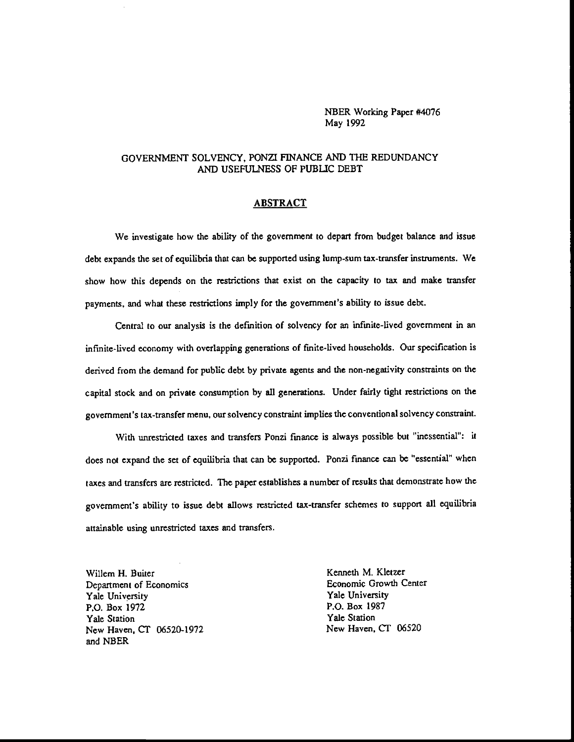NBER Working Paper #4076 May 1992

## GOVERNMENT SOLVENCY, PONZI FINANCE AND THE REDUNDANCY AND USEFULNESS OF PUBLIC DEBT

## ABSTRACT

We investigate how the ability of the government to depart from budget balance and issue debt expands the set of equilibria that can be supported using lump-sum tax-transfer instruments. We show how this depends on the restrictions that exist on the capacity to tax and make transfer payments, and what these restrictions imply for the government's ability to issue debt.

Central to our analysis is the defmition of solvency for an infinite-lived government in an infinite-lived economy with overlapping generations of finite-lived households. Our specification is derived from the demand for public debt by private agents and the non-negativity constraints on the capital stock and on private consumption by all generations. Under fairly tight restrictions on the government's tax-transfer menu, our solvency constraint implies the conventional solvency constraint.

With unrestricted taxes and transfers Ponzi finance is always possible but 'inessential": it does not expand the set of equilibria that can be supported. Ponzi finance can be "essential" when taxes and transfers are restricted. The paper establishes a number of results that demonstrate how the government's ability to issue debt allows restricted tax-transfer schemes to support all equilibria attainable using unresiricted taxes and transfers.

Willem H. Buiter<br>
Denartment of Economics<br>
Denartment of Economics<br>
Sconomic Growth Center Department of Economics<br>
Yale University<br>
Yale University<br>
Yale University Yale University<br>P.O. Box 1972 Yale Station<br>
Yale Station Mew Haven, CT 06520-1972<br>
New Haven, CT 06520-1972 New Haven, CT 06520-1972 and NBER

P.O. Box 1987<br>Yale Station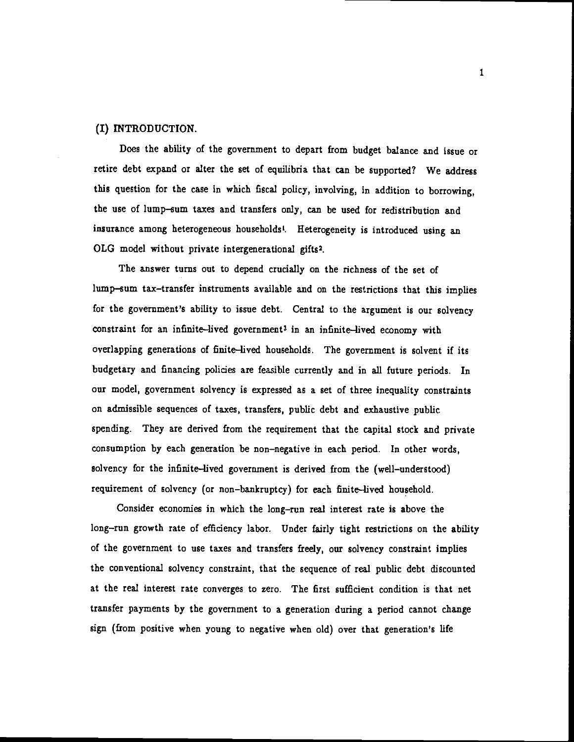## (I) INTRODUCTION.

Does the ability of the government to depart from budget balance and issue or retire debt expand or alter the set of equilibria that can be supported? We address this question for the case in which fiscal policy, involving, in addition to borrowing, the use of lump—sum taxes and transfers only, can be used for redistribution and insurance among heterogeneous households<sup>1</sup>. Heterogeneity is introduced using an OLG model without private intergenerational gifts2.

The answer turns out to depend crucially on the richness of the set of lump—sum tax—transfer instruments available and on the restrictions that this implies for the government's ability to issue debt. Central to the argument is our solvency constraint for an infinite—lived government3 in an infinite—lived economy with overlapping generations of finite—lived households. The government is solvent if its budgetary and financing policies are feasible currently and in all future periods. In our model, government solvency is expressed as a set of three inequality constraints on admissible sequences of taxes, transfers, public debt and exhaustive public spending. They are derived from the requirement that the capital stock and private consumption by each generation be non—negative in each period. In other words, solvency for the infinite—lived government is derived from the (well—understood) requirement of solvency (or non—bankruptcy) for each finite—lived household.

Consider economies in which the long—run real interest rate is above the long-run growth rate of efficiency labor. Under fairly tight restrictions on the ability of the government to use taxes and transfers freely, our solvency constraint implies the conventional solvency constraint, that the sequence of real public debt discounted at the real interest rate converges to zero. The first sufficient condition is that net transfer payments by the government to a generation during a period cannot change sign (from positive when young to negative when old) over that generation's life

1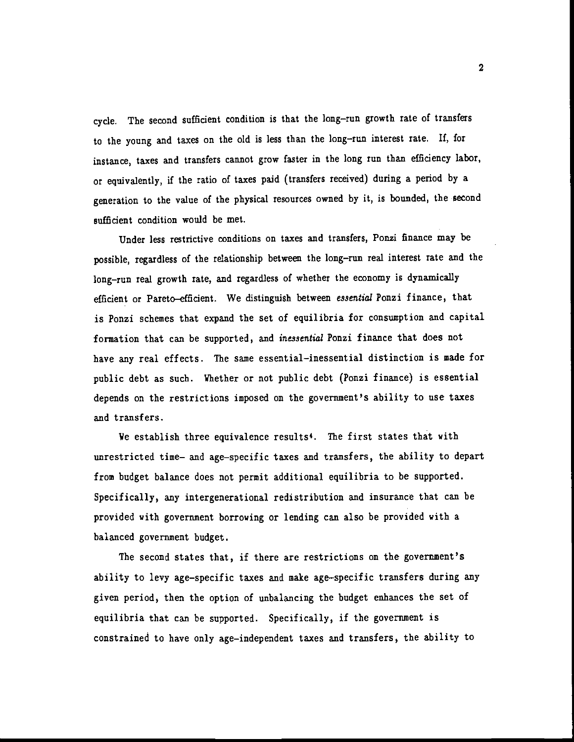cycle. The second sufficient condition is that the long—run growth rate of transfers to the young and taxes on the old is less than the long—run interest rate. If, for instance, taxes and transfers cannot grow faster in the long run than efficiency labor, or equivalently, if the ratio of taxes paid (transfers received) during a period by a generation to the value of the physical resources owned by it, is bounded, the second sufficient condition would be met.

Under less restrictive conditions on taxes and transfers, Ponzi finance may be possible, regardless of the relationship between the long—run real interest rate and the long-run real growth rate, and regardless of whether the economy is dynamically efficient or Pareto—efficient. We distinguish between essential Pouzi finance, that is Ponzi schemes that expand the set of equilibria for consumption and capital formation that can be supported, and inessential Ponzi finance that does not have any real effects. The same essential-inessential distinction is made for public debt as such. Whether or not public debt (Ponzi finance) is essential depends on the restrictions imposed on the government's ability to use taxes and transfers.

We establish three equivalence results'. The first states that with unrestricted time— and age—specific taxes and transfers, the ability to depart from budget balance does not permit additional equilibria to be supported. Specifically, any intergenerational redistribution and insurance that can be provided with government borrowing or lending can also be provided with a balanced government budget.

The second states that, if there are restrictions on the government's ability to levy age—specific taxes and make age—specific transfers during any given period, then the option of unbalancing the budget enhances the set of equilibria that can be supported. Specifically, if the government is constrained to have only age—independent taxes and transfers, the ability to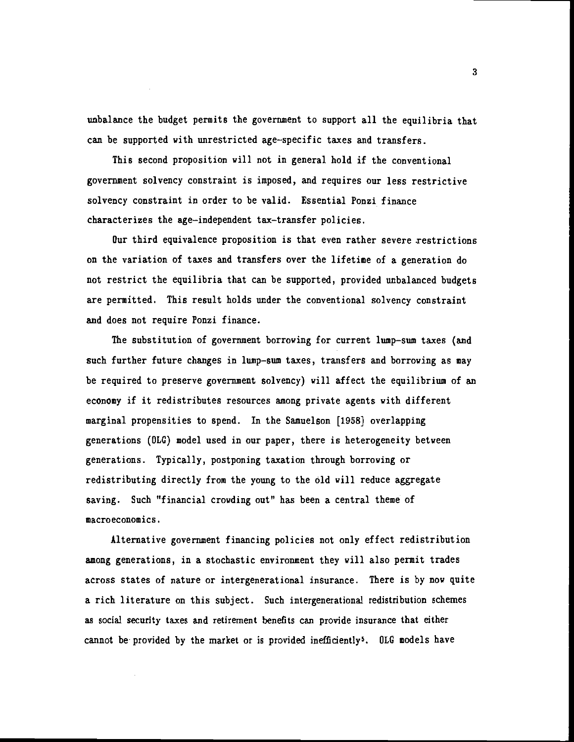unbalance the budget permits the government to support all the equilibria that can be supported with unrestricted age—specific taxes and transfers.

This second proposition will not in general hold if the conventional government solvency constraint is imposed, and requires our less restrictive solvency constraint in order to be valid. Essential Ponzi finance characterizes the age—independent tax—transfer policies.

Our third equivalence proposition is that even rather severe restrictions on the variation of taxes and transfers over the lifetime of a generation do not restrict the equilibria that can be supported, provided unbalanced budgets are permitted. This result holds under the conventional solvency constraint and does not require Ponzi finance.

The substitution of government borrowing for current lump—sum taxes (and such further future changes in lump—sum taxes, transfers and borrowing as may be required to preserve government solvency) will affect the equilibrium of an economy if it redistributes resources among private agents with different marginal propensities to spend. In the Samuelson [1958] overlapping generations (OLC) model used in our paper, there is heterogeneity between generations. Typically, postponing taxation through borrowing or redistributing directly from the young to the old will reduce aggregate saving. Such "financial crowding out" has been a central theme of macroeconomics.

Alternative government financing policies not only effect redistribution among generations, in a stochastic environment they will also permit trades across states of nature or intergenerational insurance. There is by now quite a rich literature on this subject. Such intergenerational redistribution schemes as social security taxes and retirement benefits can provide insurance that either cannot be provided by the market or is provided inefficiently<sup>5</sup>. OLG models have

3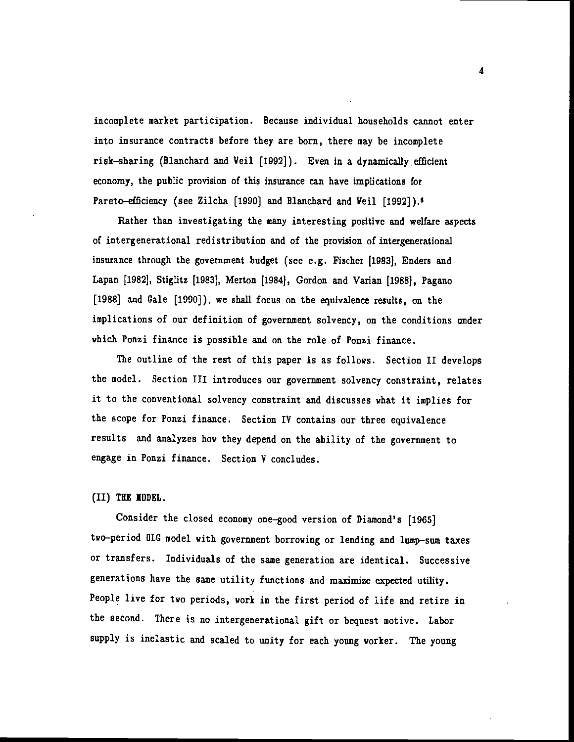incomplete market participation. Because individual households cannot enter into insurance contracts before they are born, there may be incomplete risk—sharing (Blanchard and Veil [1992]). Even in a dynamically.efficient economy, the public provision of this insurance can have implications for Pareto-efficiency (see Zilcha [1990] and Blanchard and Veil [1992]).<sup>6</sup>

Rather than investigating the many interesting positive and welfare aspects of intergenerational redistribution and of the provision of intergenerational insurance through the government budget (see e.g. Fischer (1983), Enders and Lapan [1982], Stiglitz [1983], Merton [1984], Gordon and Varian [1988], Pagano [1988] and Gale [1990]), we shall focus on the equivalence results, on the implications of our definition of government solvency, on the conditions under which Ponzi finance is possible and on the role of Ponzi finance.

The outline of the rest of this paper is as follows. Section II develops the model. Section III introduces our government solvency constraint, relates it to the conventional solvency constraint and discusses what it implies for the scope for Ponzi finance. Section IV contains our three equivalence results and analyzes how they depend on the ability of the government to engage in Ponzi finance. Section V concludes.

### (II) TEE IDDEL.

Consider the closed economy one—good version of Diamond's [1965] two—period OLG model with government borrowing or lending and lump—sum taxes or transfers. Individuals of the same generation are identical. Successive generations have the same utility functions and maximize expected utility. People live for two periods, work in the first period of life and retire in the second. There is no intergenerational gift or bequest motive. Labor supply is inelastic and scaled to unity for each young worker. The young

4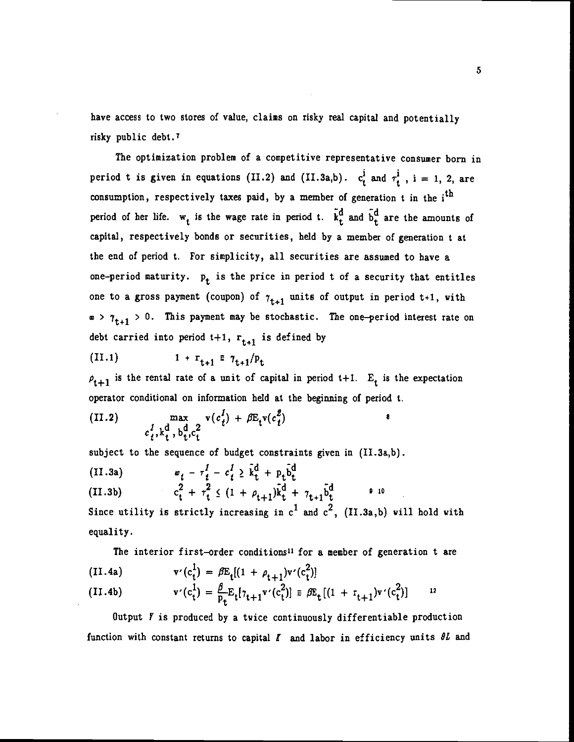have access to two stores of value, claims on risky real capital and potentially risky public debt.'

The optimization problem of a competitive representative consumer born in period t is given in equations (II.2) and (II.3a,b).  $c_t^1$  and  $\tau_t^1$ , i = 1, 2, are consumption, respectively taxes paid, by a member of generation  $t$  in the  $i<sup>th</sup>$ period of her life.  $w_t$  is the wage rate in period t.  $\tilde{k}_t^d$  and  $\tilde{b}_t^d$  are the amounts of capital, respectively bonds or securities, held by a member of generation t at the end of period t. For simplicity, all securities are assumed to have a one-period maturity.  $p_t$  is the price in period t of a security that entitles one to a gross payment (coupon) of  $\tau_{t+1}$  units of output in period t+1, with  $\infty$  >  $\tau_{t+1}$  > 0. This payment may be stochastic. The one-period interest rate on debt carried into period  $t+1$ ,  $r_{t+1}$  is defined by

(II.1) 
$$
1 + r_{t+1} = \tau_{t+1}/p_t
$$

 $\rho_{t+1}$  is the rental rate of a unit of capital in period t+1.  $E_t$  is the expectation operator conditional on information held at the beginning of period t.

(II.2) 
$$
\max_{\substack{c_t^I, k_t^d, b_t^d, c_t^2}} v(c_t^I) + \beta E_t v(c_t^2)
$$

subject to the sequence of budget constraints given in (II.3a,b).

(II.3a)  $w_t - \tau_t^I - c_t^I \geq \tilde{k}_t^d + p_t \tilde{b}_t^d$ 

(II.3b) 
$$
c_t^2 + \tau_t^2 \leq (1 + \rho_{t+1}) \bar{k}_t^d + \gamma_{t+1} \bar{b}_t^d
$$

Since utility is strictly increasing in  $c^1$  and  $c^2$ , (II.3a,b) will hold with equality.

The interior first-order conditions<sup>11</sup> for a member of generation t are

(II.4a) 
$$
v'(c_t^1) = \beta E_t[(1 + \rho_{t+1})v'(c_t^2)]
$$

(II.4b) 
$$
v'(c_t^1) = \frac{\beta}{p_t} E_t[\tau_{t+1} v'(c_t^2)] \equiv \beta E_t[(1 + r_{t+1})v'(c_t^2)] \qquad {}^{12}
$$

Output  *is produced by a twice continuously differentiable production* function with constant returns to capital  $I$  and labor in efficiency units  $\theta L$  and

S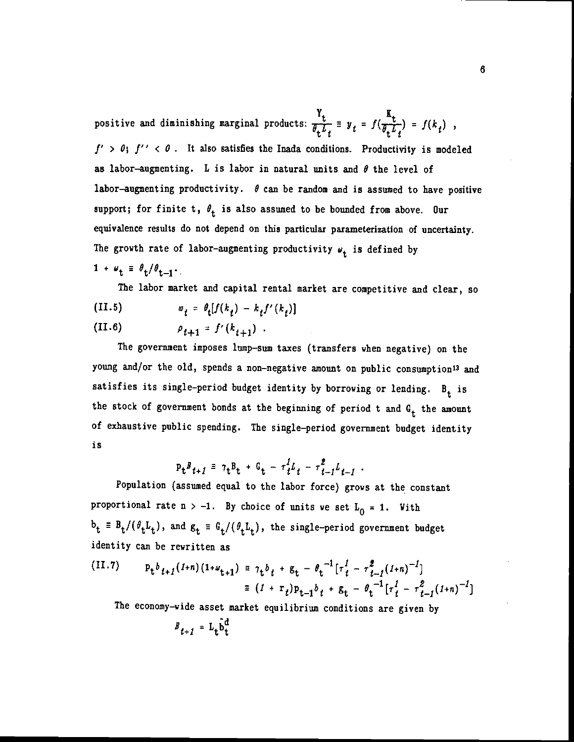positive and diminishing marginal products:  $\frac{Y_t}{\theta_t L_t} = y_t = f(\frac{K_t}{\theta_t L_t}) = f(k_t)$ ,  $f' > 0$ ;  $f'' < 0$ . It also satisfies the Inada conditions. Productivity is modeled as labor-augmenting. L is labor in natural units and  $\theta$  the level of labor-augmenting productivity.  $\theta$  can be random and is assumed to have positive support; for finite t,  $\theta_t$  is also assumed to be bounded from above. Our equivalence results do not depend on this particular parameterization of uncertainty. The growth rate of labor-augmenting productivity  $\psi_t$  is defined by  $1 + \omega_t \equiv \theta_t / \theta_{t-1}$ .

The labor market and capital rental market are competitive and clear, so (II.5)  $w_t = \theta_t[f(k_t) - k_t f'(k_t)]$ 

(II.6) 
$$
\rho_{t+1} = f'(k_{t+1}).
$$

The government imposes lump—sum taxes (transfers when negative) on the young and/or the old, spends a non-negative amount on public consumption<sup>13</sup> and satisfies its single-period budget identity by borrowing or lending.  $B_t$  is the stock of government bonds at the beginning of period t and  $G_t$  the amount of exhaustive public spending. The single—period government budget identity is

$$
P_t^B t + I = 7t^B t + G_t - \tau_t^2 L_t - \tau_{t-1}^2 L_{t-1}.
$$

Population (assumed equal to the labor force) grows at the constant proportional rate  $n > -1$ . By choice of units we set  $L_0 = 1$ . With  $b_t = B_t/(\theta_t L_t)$ , and  $g_t = G_t/(\theta_t L_t)$ , the single-period government budget identity can be rewritten as

(II.7) 
$$
p_{t}b_{t+1}(1+n)(1+\omega_{t+1}) = \tau_{t}b_{t} + g_{t} - \theta_{t}^{-1}[\tau_{t}^{1} - \tau_{t-1}^{2}(1+n)^{-1}]
$$

$$
= (1 + \tau_{t})p_{t-1}b_{t} + g_{t} - \theta_{t}^{-1}[\tau_{t}^{1} - \tau_{t-1}^{2}(1+n)^{-1}]
$$

The economy—wide asset market equilibrium conditions are given by

$$
B_{t+1} = L_t \hat{b}_t^d
$$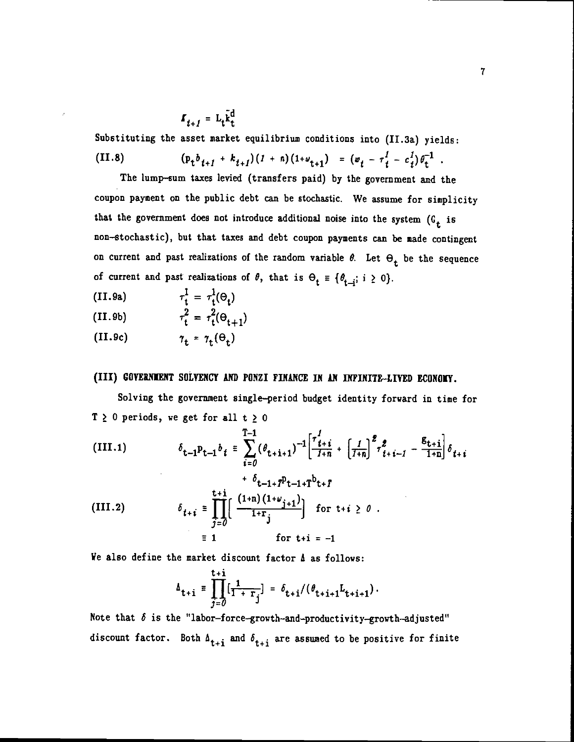$$
I_{t+1} = L_t \tilde{k}_t^d
$$

Substituting the asset market equilibrium conditions into (II.3a) yields: (II.8)  $(p_t b_{t+1} + k_{t+1})(1 + n)(1 + \omega_{t+1}) = (\omega_t - \tau_t^1 - c_t^1)\theta_t^{-1}.$ 

The lump—sum taxes levied (transfers paid) by the government and the coupon payment on the public debt can be stochastic. We assume for simplicity that the government does not introduce additional noise into the system  $(G_t$  is non—stochastic), but that taxes and debt coupon payments can be made contingent on current and past realizations of the random variable  $\theta$ . Let  $\Theta_t$  be the sequence of current and past realizations of  $\theta$ , that is  $\Theta_t \equiv {\theta_{t-i}}$ ; i  $\geq 0$ .

- (II.9a)  $\tau_t^1 = \tau_t^1(\Theta_t)$
- (II.9b)  $\tau_t^2 = \tau_t^2(\Theta_{t+1})$
- (II.9c)  $\tau_t = \tau_t(\Theta_t)$

## (III) GOVERNMENT SOLVENCY AND PONZI FINANCE IN AN INFINITE-LIVED ECONOMY.

Solving the government single—period budget identity forward in time for  $T \ge 0$  periods, we get for all  $t \ge 0$ 

(III.1) 
$$
\delta_{t-1}P_{t-1}b_t \equiv \sum_{i=0}^{T-1} (\theta_{t+i+1})^{-1} \left[ \frac{\tau_{t+i}^f}{1+n} + \left[ \frac{1}{1+n} \right]^2 \tau_{t+i-1}^2 - \frac{g_{t+i}}{1+n} \right] \delta_{t+i} + \delta_{t-1+1}P_{t-1+1}b_{t+1}
$$
  
\n(III.2) 
$$
\delta_{t+i} \equiv \prod_{j=0}^{t+i} \left[ \frac{(1+n)(1+\omega_{j+1})}{1+r_j} \right] \text{ for } t+i \ge 0.
$$

$$
\equiv 1 \qquad \text{for } t+i = -1
$$

We also define the market discount factor  $\Delta$  as follows:

$$
\Delta_{t+i} \equiv \prod_{j=0}^{t+i} [\frac{1}{1+\frac{1}{r_j}}] = \delta_{t+i}/(\theta_{t+i+1}L_{t+i+1}).
$$

Note that  $\delta$  is the "labor-force-growth-and-productivity-growth-adjusted" discount factor. Both  $\Lambda_{t+i}$  and  $\delta_{t+i}$  are assumed to be positive for finite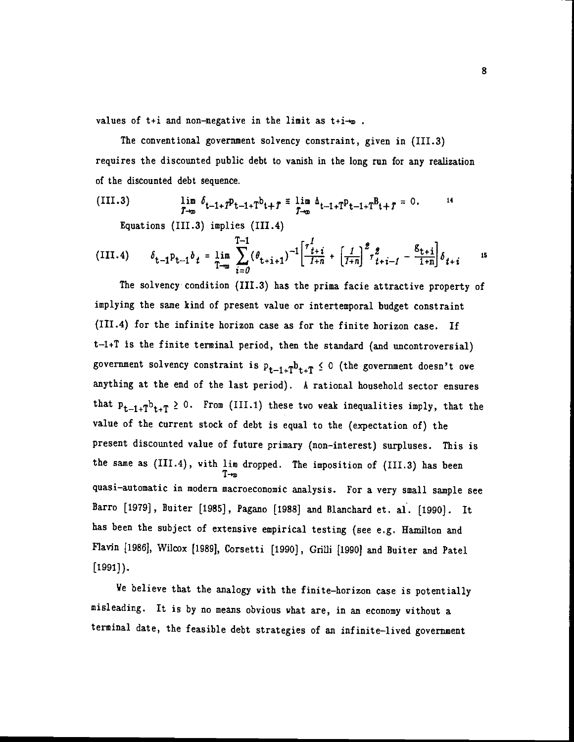values of  $t+i$  and non-negative in the limit as  $t+i-w$ .

The conventional government solvency constraint, given in (111.3) requires the discounted public debt to vanish in the long run for any realization of the discounted debt sequence.

(III.3) 
$$
\lim_{T \to \infty} \delta_{t-1+T} p_{t-1+T} b_{t+T} = \lim_{T \to \infty} \Delta_{t-1+T} p_{t-1+T} B_{t+T} = 0.
$$

Equations (111.3) implies (111.4)

(III.4) 
$$
\delta_{t-1} p_{t-1} b_t = \lim_{T \to \infty} \sum_{i=0}^{T-1} (\theta_{t+i+1})^{-1} \left[ \frac{\tau_{t+i}^1}{1+n} + \left[ \frac{1}{1+n} \right]^2 \tau_{t+i-1}^2 - \frac{g_{t+i}}{1+n} \right] \delta_{t+i} \quad \text{is}
$$

The solvency condition (111.3) has the prima facie attractive property of implying the same kind of present value or intertemporal budget constraint (111.4) for the infinite horizon case as for the finite horizon case. If t—1+T is the finite terminal period, then the standard (and uncontroversial) government solvency constraint is  $p_{t-1+T}b_{t+T} \le 0$  (the government doesn't owe anything at the end of the last period). A rational household sector ensures that  $P_{t-1+T}b_{t+T} \geq 0$ . From (III.1) these two weak inequalities imply, that the value of the current stock of debt is equal to the (expectation of) the present discounted value of future primary (non—interest) surpluses. This is the same as (III.4), with lim dropped. The imposition of (III.3) has been quasi—automatic in moden macroeconomic analysis. For a very small sample see Barro [1979] , Buiter [1985] , Pagano [1988] and Blanchard et. al. [1990]. It has been the subject of extensive empirical testing (see e.g. Hamilton and Flavin [1986J, Wilcox [1989], Corsetti [1990], Grilli [1990) and Buiter and Patel  $[1991]$ .

We believe that the analogy with the finite—horizon case is potentially misleading. It is by no means obvious what are, in an economy without a terminal date, the feasible debt strategies of an infinite—lived government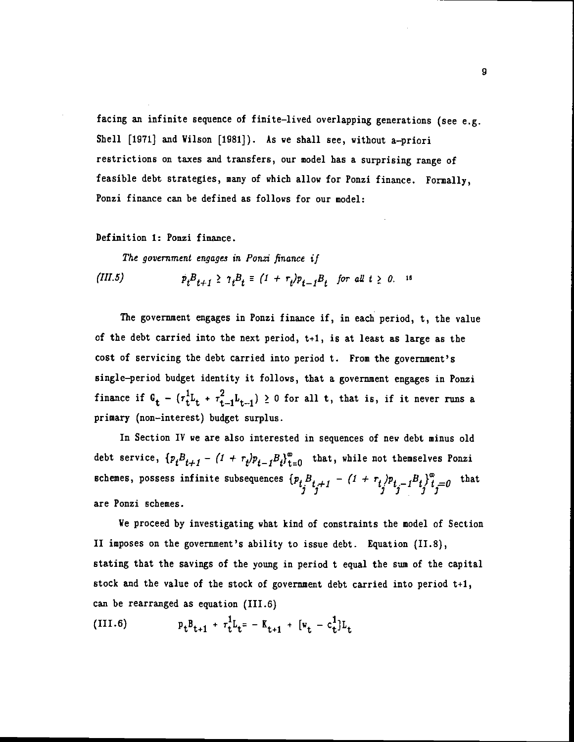facing an infinite sequence of finite—lived overlapping generations (see e.g. Shell [1971] and Vilson [1981]). As we shall see, without a—priori restrictions on taxes and transfers, our model has a surprising range of feasible debt strategies, many of which allow for Ponzi finance. Formally, Ponzi finance can be defined as follows for our model:

Definition 1: Pouzi finance.

The government engages in Ponzi finance if

(III.5)  $p_t B_{t+1} \geq \gamma_t B_t \equiv (1 + r_t) p_{t-1} B_t$  for all  $t \geq 0$ . 16

The government engages in Ponzi finance if, in each period, t, the value of the debt carried into the next period, t+1, is at least as large as the cost of servicing the debt carried into period t. From the government's single—period budget identity it follows, that a government engages in Ponzi finance if  $G_t - (r_t^L L_t + r_{t-1}^2 L_{t-1}) \ge 0$  for all t, that is, if it never runs a primary (non—interest) budget surplus.

In Section IV we are also interested in sequences of new debt minus old debt service,  $\{p_tB_{t+1} - (1 + r_t)p_{t-1}B_t\}_{t=0}^{\infty}$  that, while not themselves Ponzi schemes, possess infinite subsequences  $\{p_t^{\phantom{I}}\}_{t_j\neq1}^B - (1 + r_t)p_{t_j-1}B_t\}_{t_j=0}^{\infty}$  that are Ponzi schemes.

Ye proceed by investigating what kind of constraints the model of Section II imposes on the government's ability to issue debt. Equation (11.8), stating that the savings of the young in period t equal the sum of the capital stock and the value of the stock of government debt carried into period  $t+1$ , can be rearranged as equation (111.6)

(III.6) 
$$
p_t B_{t+1} + \tau_t^1 L_t = -K_{t+1} + [v_t - c_t^1] L_t
$$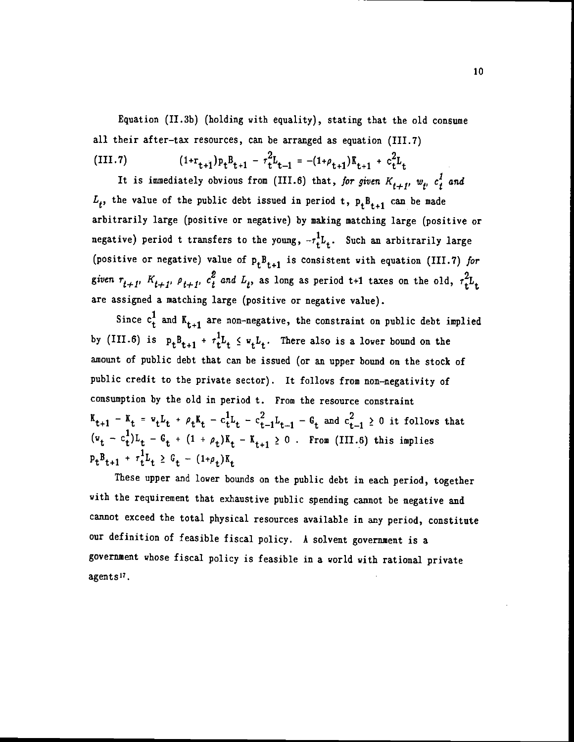Equation (II.3b) (holding with equality), stating that the old consume all their after—tax resources, can be arranged as equation (111.7)

(III.7) 
$$
(1+r_{t+1})p_tB_{t+1} - r_t^2L_{t-1} = -(1+\rho_{t+1})R_{t+1} + c_t^2L_t
$$

It is immediately obvious from (III.6) that, for given  $K_{t+1}$ ,  $w_t$ ,  $c_t^2$  and  $L_t$ , the value of the public debt issued in period t,  $p_tB_{t+1}$  can be made arbitrarily large (positive or negative) by making matching large (positive or negative) period t transfers to the young,  $-r_t^1L_t$ . Such an arbitrarily large (positive or negative) value of  $p_tB_{t+1}$  is consistent with equation (III.7) for given  $r_{t+1}$ ,  $K_{t+1}$ ,  $\rho_{t+1}$ ,  $c_t^2$  and  $L_t$ , as long as period t+1 taxes on the old,  $\tau_t^2 L_t$ are assigned a matching large (positive or negative value).

Since  $c_t^1$  and  $K_{t+1}$  are non-negative, the constraint on public debt implied by (III.6) is  $p_t B_{t+1} + \tau_t^1 L_t \leq v_t L_t$ . There also is a lower bound on the amount of public debt that can be issued (or an upper bound on the stock of public credit to the private sector). It follows from non—negativity of consumption by the old in period t. From the resource constraint  $K_{t+1} - K_t = v_t L_t + \rho_t K_t - c_t^1 L_t - c_{t-1}^2 L_{t-1} - G_t$  and  $c_{t-1}^2 \geq 0$  it follows that  $(v_t - c_t^1)L_t - G_t + (1 + \rho_t)K_t - K_{t+1} \ge 0$ . From (III.6) this implies  $P_t B_{t+1} + \tau_t^1 L_t \ge G_t - (1+\rho_t)K_t$ 

These upper and lower bounds on the public debt in each period, together with the requirement that exhaustive public spending cannot be negative and cannot exceed the total physical resources available in any period, constitute our definition of feasible fiscal policy. A solvent government is a government whose fiscal policy is feasible in a world with rational private agents<sup>17</sup>.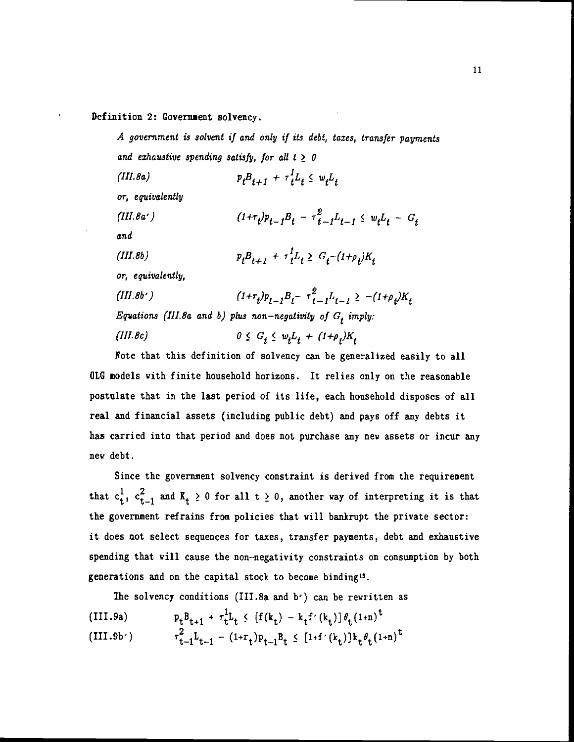#### Definition 2: Government solvency.

A government is solvent if and only if its debt, taxes, transfer payments and exhaustive spending satisfy, for all  $t \geq 0$ 

(III.8a)  $p_t B_{t+1} + \tau_t^1 L_t \leq w_t L_t$ or, equivalently (III.8a')  $(1+r_i)p_{i-1}B_i - r_{i-1}^2L_{i-1} \leq w_iL_i - G_i$ and (III.8b)  $p_t B_{t+1} + \tau_t^1 L_t \geq G_t - (1 + \rho_t) K_t$ or, equivalently, (III.8b')  $(1+r_t)p_{t-1}B_t - r_{t-1}^2L_{t-1} \ge -(1+\rho_t)K_t$ Equations (III.8a and b) plus non-negativity of  $G_t$  imply: (*III.8c*)  $0 \le G_t \le w_t L_t + (1+\rho_t)K_t$ 

Note that this definition of solvency can be generalized easily to all OLG models with finite household horizons. It relies only on the reasonable postulate that in the last period of its life, each household disposes of all real and financial assets (including public debt) and pays off any debts it has carried into that period and does not purchase any new assets or incur any new debt.

Since the government solvency constraint is derived from the requirement that  $c_t^1$ ,  $c_{t-1}^2$  and  $K_t \ge 0$  for all  $t \ge 0$ , another way of interpreting it is that the government refrains from policies that will bankrupt the private sector: it does not select sequences for taxes, transfer payments, debt and exhaustive spending that will cause the non—negativity constraints on consumption by both generations and on the capital stock to become binding'8.

The solvency conditions (III.Sa and b') can be rewritten as

(III.9a) 
$$
p_t B_{t+1} + \tau_t^1 L_t \leq [f(k_t) - k_t f'(k_t)] \theta_t (1+n)^t
$$
  
(III.9b') 
$$
\tau_{t-1}^2 L_{t-1} - (1+r_t) p_{t-1} B_t \leq [1+f'(k_t)] k_t \theta_t (1+n)^t
$$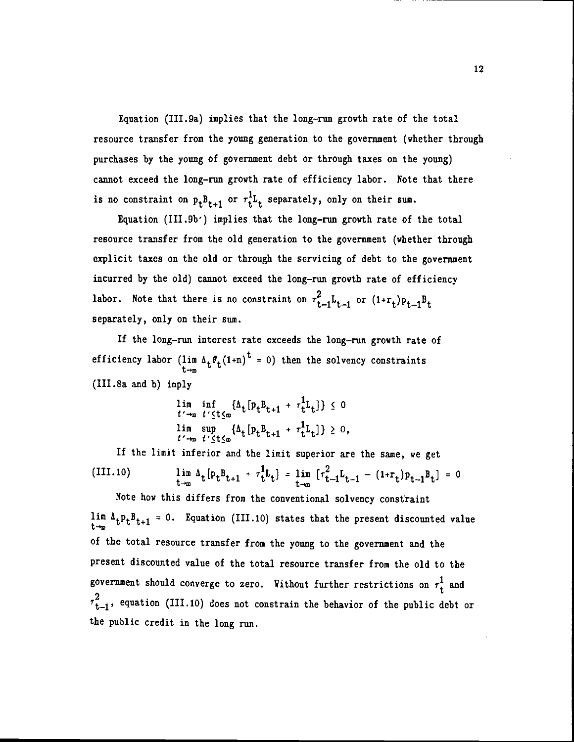Equation (III.9a) implies that the long-run growth rate of the total resource transfer from the young generation to the government (whether through purchases by the young of government debt or through taxes on the young) cannot exceed the long—run growth rate of efficiency labor. Note that there is no constraint on  $p_t B_{t+1}$  or  $\tau_t^1 L_t$  separately, only on their sum.

Equation (III.Db') implies that the long—run growth rate of the total resource transfer from the old generation to the government (whether through explicit taxes on the old or through the servicing of debt to the government incurred by the old) cannot exceed the long—run growth rate of efficiency labor. Note that there is no constraint on  $\tau_{t-1}^2 L_{t-1}$  or  $(1+r_t)p_{t-1}B_t$ separately, only on their sum.

If the long-run interest rate exceeds the long-run growth rate of efficiency labor ( $\lim_{t \to \infty} \Delta_t \theta_t (1+n)^t = 0$ ) then the solvency constraints (III.8a and b) imply

$$
\lim_{t' \to \infty} \inf_{t' \leq t \leq \infty} {\{\Delta_t \left[ P_t B_{t+1} + \tau_t^1 L_t \right] \}} \leq 0
$$
\n
$$
\lim_{t' \to \infty} \sup_{t' \leq t \leq \infty} {\{\Delta_t \left[ P_t B_{t+1} + \tau_t^1 L_t \right] \}} \geq 0,
$$

If the limit inferior and the limit superior are the same, we get (III.10)  $\lim_{t\to\infty} \Delta_t [p_t B_{t+1} + r_t^L L_t] = \lim_{t\to\infty} [r_{t-1}^2 L_{t-1} - (1+r_t) p_{t-1} B_t] = 0$ Note how this differs from the conventional solvency constraint

lim  $\Delta_t P_t B_{t+1} = 0$ . Equation (III.10) states that the present discounted value of the total resource transfer from the young to the government and the present discounted value of the total resource transfer from the old to the government should converge to zero. Without further restrictions on  $\tau_t^1$  and  $\tau_{t-1}^2$ , equation (III.10) does not constrain the behavior of the public debt or the public credit in the long run.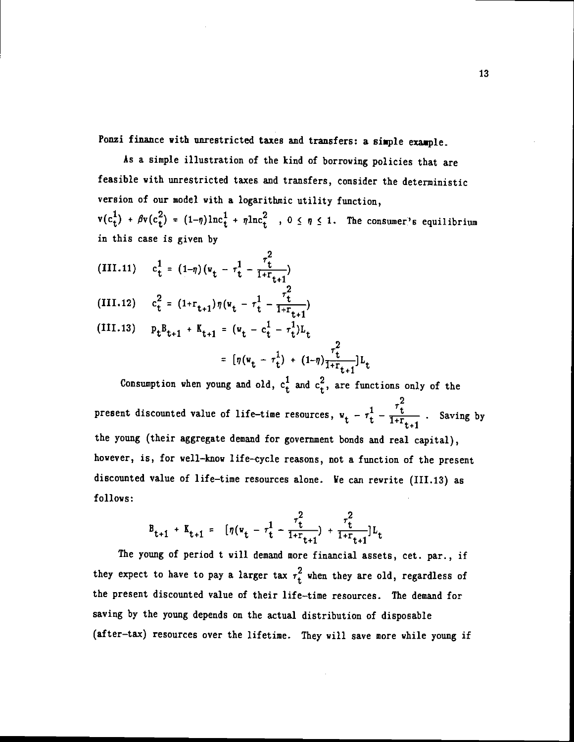Ponzi finance with unrestricted taxes and transfers: a simple example.

As a simple illustration of the kind of borrowing policies that are feasible with unrestricted taxes and transfers, consider the deterministic version of our model with a logarithmic utility function,  $v(c_t^+)$  +  $\beta v(c_t^+)$  =  $(1-\eta)\ln c_t^+$  +  $\eta\ln c_t^2$  ,  $0 \leq \eta \leq 1$ . The consumer's equilibrium in this case is given by

- 2 (III.11)  $c_t^1 = (1-\eta)(v_t - r_t^1 - \frac{t}{1+r_{t-1}})$
- (III.12)  $c_t^2 = (1+r_{t+1})\eta(v_t r_t^1 \frac{r_t^2}{1+r_{t-1}})$
- (III.13)  $P_t B_{t+1} + K_{t+1} = (v_t c_t^1 \tau_t^1) L_t$ =  $[\eta(\mathbf{w}_t - \tau_t^1) + (1-\eta)\frac{\tau_t}{1+\tau_{t+1}}]L_t$

Consumption when young and old,  $c_t^1$  and  $c_t^2$ , are functions only of the present discounted value of life-time resources,  $w_t - \tau_t^2 - \frac{v}{1 + r_{t+1}}$ . Saving by the young (their aggregate demand for government bonds and real capital), however, is, for well—how life—cycle reasons, not a function of the present discounted value of life—time resources alone. We can rewrite (111.13) as follows:

$$
B_{t+1} + K_{t+1} = [\eta(v_t - \tau_t^1 - \frac{\tau_t^2}{1 + r_{t+1}}) + \frac{\tau_t^2}{1 + r_{t+1}}]L_t
$$

The young of period t will demand more financial assets, cet. par., if they expect to have to pay a larger tax  $\tau_t^2$  when they are old, regardless of the present discounted value of their life—time resources. The demand for saving by the young depends on the actual distribution of disposable (after—tax) resources over the lifetime. They will save more while young if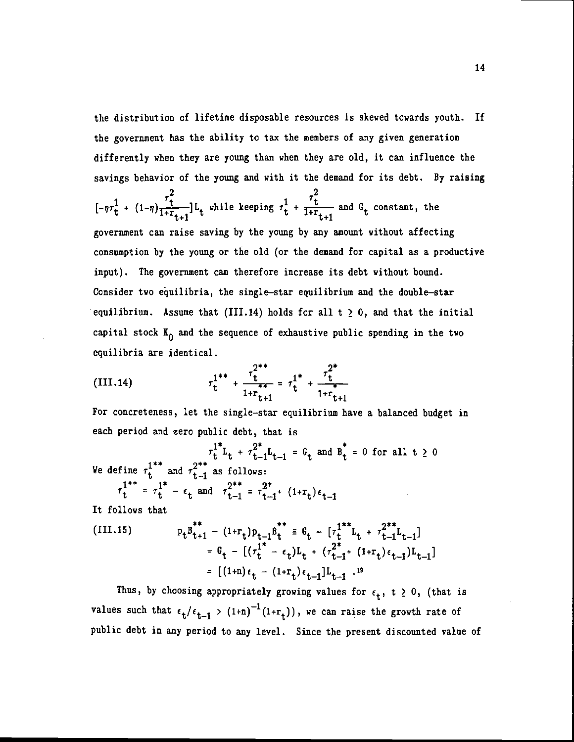the distribution of lifetime disposable resources is skewed towards youth. If the government has the ability to tax the members of any given generation differently when they are young than when they are old, it can influence the savings behavior of the young and with it the demand for its debt. By raising

$$
[\n-\eta\tau_t^1 + (1-\eta)\frac{\tau_t^2}{1+\Gamma_{t+1}}]L_t
$$
 while keeping  $\tau_t^1 + \frac{\tau_t^2}{1+\Gamma_{t+1}}$  and  $G_t$  constant, the  
government can raise saving by the young by any amount without affecting  
consumption by the young or the old (or the demand for capital as a productive  
input). The government can therefore increase its debt without bound.  
Consider two equilibria, the single-star equilibrium and the double-star  
equilibrium. Assume that (III.14) holds for all  $t \ge 0$ , and that the initial  
capital stock  $K_0$  and the sequence of exhaustive public spending in the two  
equilibria are identical.

(III.14) 
$$
\tau_{t}^{1^{**}} + \frac{\tau_{t}^{2^{**}}}{1 + r_{t+1}^{**}} = \tau_{t}^{1^{*}} + \frac{\tau_{t}^{2^{*}}}{1 + r_{t+1}^{*}}
$$

 $\ddot{\phantom{a}}$ 

For concreteness, let the single—star equilibrium have a balanced budget in each period and zero public debt, that is

$$
\tau_t^{1^*}L_t + \tau_{t-1}^{2^*}L_{t-1} = G_t \text{ and } B_t^* = 0 \text{ for all } t \ge 0
$$
  
We define  $\tau_t^{1^{**}}$  and  $\tau_{t-1}^{2^{**}}$  as follows:  
 $\tau_t^{1^{**}} = \tau_t^{1^*} - \epsilon_t$  and  $\tau_{t-1}^{2^{**}} = \tau_{t-1}^{2^*} + (1 + \tau_t)\epsilon_{t-1}$   
It follows that

(III.15) 
$$
p_t B_{t+1}^{T^*} - (1+r_t) p_{t-1} B_t^{T^*} \equiv G_t - [r_t^{1**} L_t + r_{t-1}^{2**} L_{t-1}]
$$

$$
= G_t - [ (r_t^{1*} - \epsilon_t) L_t + (r_{t-1}^{2*} + (1+r_t) \epsilon_{t-1}) L_{t-1}]
$$

$$
= [(1+n) \epsilon_t - (1+r_t) \epsilon_{t-1}] L_{t-1}^{19}.
$$

Thus, by choosing appropriately growing values for  $\epsilon_t$ , t  $\geq 0$ , (that is values such that  $\epsilon_t/\epsilon_{t-1}$  >  $(1+n)^{-1}(1+r_t)$ , we can raise the growth rate of public debt in any period to any level. Since the present discounted value of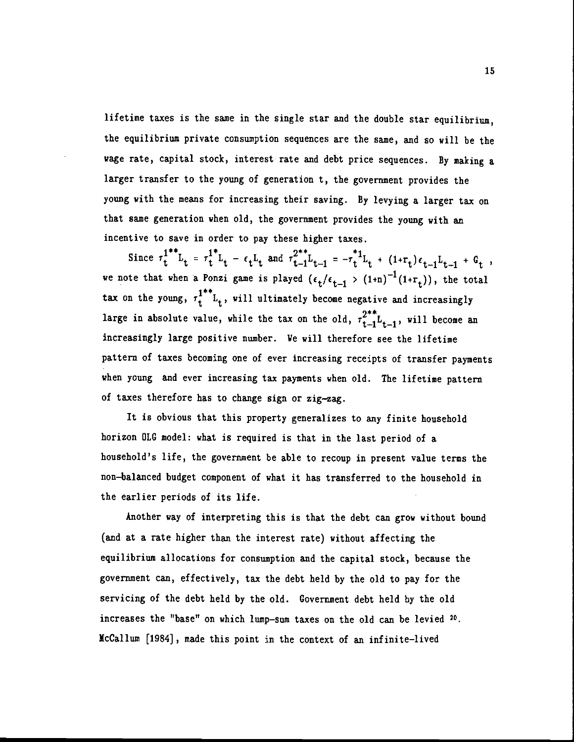lifetime taxes is the same in the single star and the double star equilibrium, the equilibrium private consumption sequences are the same, and so will be the wage rate, capital stock, interest rate and debt price sequences. By making a larger transfer to the young of generation t, the government provides the young with the means for increasing their saving. By levying a larger tax on that same generation when old, the government provides the young with an incentive to save in order to pay these higher taxes.

Since  $\tau_t^{1^{**}} L_t = \tau_t^{1^{*}} L_t - \epsilon_t L_t$  and  $\tau_{t-1}^{2^{**}} L_{t-1} = -\tau_t^{*1} L_t + (1+\tau_t)\epsilon_{t-1}L_{t-1} + G_t$ , we note that when a Ponzi game is played  $(\epsilon_t/\epsilon_{t-1} > (1+n)^{-1}(1+r_t))$ , the total tax on the young,  $\tau_t^{1**}L_t$ , will ultimately become negative and increasingly large in absolute value, while the tax on the old,  $\tau_{t-1}^{2^{**}}L_{t-1}$ , will become an increasingly large positive number. Ye will therefore see the lifetime pattern of taxes becoming one of ever increasing receipts of transfer payments when young and ever increasing tax payments when old. The lifetime pattern of taxes therefore has to change sign or zig—zag.

It is obvious that this property generalizes to any finite household horizon OLG model: what is required is that in the last period of a household's life, the government be able to recoup in present value terms the non—balanced budget component of what it has transferred to the household in the earlier periods of its life.

Another way of interpreting this is that the debt can grow without bound (and at a rate higher than the interest rate) without affecting the equilibrium allocations for consumption and the capital stock, because the government can, effectively, tax the debt held by the old to pay for the servicing of the debt held by the old. Government debt held by the old increases the "base" on which lump—sum taxes on the old can be levied 20• McCallum [1984] , made this point in the context of an infinite—lived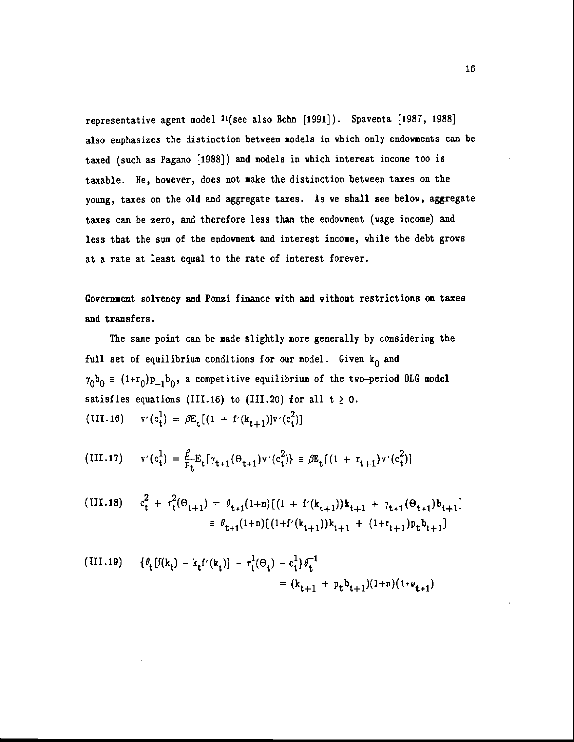representative agent model 21(see also Bohn [1991]). Spaventa [1987, 1988] also emphasizes the distinction between models in which only endowments can be taxed (such as Pagano [1988]) and models in which interest income too is taxable. He, however, does not make the distinction between taxes on the young, taxes on the old and aggregate taxes. As we shall see below, aggregate taxes can be zero, and therefore less than the endowment (wage income) and less that the sum of the endowment and interest income, while the debt grows at a rate at least equal to the rate of interest forever.

Govemaent solvency and Ponzi finance with and without restrictions on taxes and transfers.

The same point can be made slightly more generally by considering the full set of equilibrium conditions for our model. Given  $k_0$  and  $\tau_0$ b<sub>0</sub> =  $(1+r_0)p_{-1}b_0$ , a competitive equilibrium of the two-period OLG model satisfies equations (III.16) to (III.20) for all  $t \geq 0$ . (III.16)  $v'(c_t^1) = \beta E_t[(1 + f'(k_{t+1})]v'(c_t^2)]$ 

(III.17) 
$$
v'(c_t^1) = \frac{\beta}{p_t} E_t[\tau_{t+1}(\Theta_{t+1})v'(c_t^2)] \equiv \beta E_t[(1 + r_{t+1})v'(c_t^2)]
$$

(III.18) 
$$
c_t^2 + \tau_t^2(\Theta_{t+1}) = \theta_{t+1}(1+n)[(1 + f'(k_{t+1}))k_{t+1} + \gamma_{t+1}(\Theta_{t+1})b_{t+1}]
$$

$$
\equiv \theta_{t+1}(1+n)[(1 + f'(k_{t+1}))k_{t+1} + (1 + r_{t+1})p_t b_{t+1}]
$$

(III.19) 
$$
\{ \theta_t [f(k_t) - k_t f'(k_t)] - \tau_t^1 (\Theta_t) - c_t^1 \} \theta_t^{-1} = (k_{t+1} + p_t b_{t+1}) (1 + n) (1 + \psi_{t+1})
$$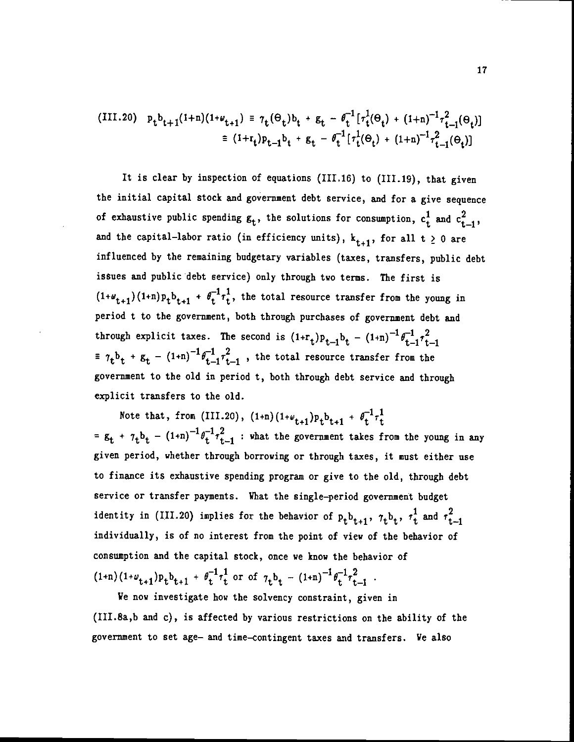(III.20) 
$$
p_{t}b_{t+1}(1+n)(1+\omega_{t+1}) = \gamma_{t}(\Theta_{t})b_{t} + g_{t} - \theta_{t}^{-1}[\tau_{t}^{1}(\Theta_{t}) + (1+n)^{-1}\tau_{t-1}^{2}(\Theta_{t})]
$$

$$
= (1+r_{t})p_{t-1}b_{t} + g_{t} - \theta_{t}^{-1}[\tau_{t}^{1}(\Theta_{t}) + (1+n)^{-1}\tau_{t-1}^{2}(\Theta_{t})]
$$

It is clear by inspection of equations (111.16) to (111.19), that given the initial capital stock and government debt service, and for a give sequence of exhaustive public spending  $g_t$ , the solutions for consumption,  $c_t^1$  and  $c_{t-1}^2$ , and the capital-labor ratio (in efficiency units),  $k_{t+1}$ , for all t  $\geq 0$  are influenced by the remaining budgetary variables (taxes, transfers, public debt issues and public debt service) only through two terms. The first is  $(1+\omega_{t+1})(1+n)p_t b_{t+1} + \theta_t^{-1} \tau_t^1$ , the total resource transfer from the young in period t to the government, both through purchases of government debt and through explicit taxes. The second is  $(1+r_t)p_{t-1}b_t - (1+n)^{-1}\theta_{t-1}^{-1}\tau_{t-1}^2$ +  $g_t$  -  $(1+n)^{-1}\theta_{t-1}^{-1}\tau_{t-1}^2$ , the total resource transfer from the government to the old in period t, both through debt service and through explicit transfers to the old.

Note that, from (III.20),  $(1+n)(1+\omega_{t+1})p_t b_{t+1} + \theta_t^{-1} \tau_t^1$ =  $g_t$  +  $\gamma_t b_t$  -  $(1+n)^{-1} \theta_t^{-1} \tau_{t-1}^2$  : what the government takes from the young in any given period, whether through borrowing or through taxes, it must either use to finance its exhaustive spending program or give to the old, through debt service or transfer payments. What the single—period government budget identity in (III.20) implies for the behavior of  $p_t b_{t+1}$ ,  $\tau_t b_t$ ,  $\tau_t^1$  and  $\tau_{t-1}^2$ individually, is of no interest from the point of view of the behavior of consumption and the capital stock, once we know the behavior of  $(1+n)(1+\omega_{t+1})p_tb_{t+1} + \theta_t^{-1}\tau_t^1$  or of  $\tau_t b_t - (1+n)^{-1}\theta_t^{-1}\tau_{t-1}^2$ .

We now investigate how the solvency constraint, given in (III.8a,b and c), is affected by various restrictions on the ability of the government to set age— and time—contingent taxes and transfers. Ve also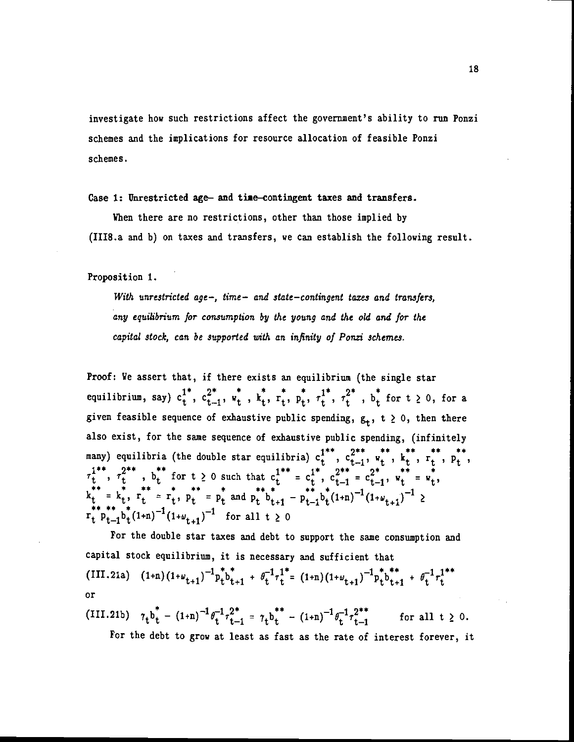investigate how such restrictions affect the government's ability to run Ponzi schemes and the implications for resource allocation of feasible Ponzi schemes.

Case 1: Unrestricted age— and time-contingent taxes and transfers.

When there are no restrictions, other than those implied by (III8.a and b) on taxes and transfers, we can establish the following result.

Proposition 1.

With unrestricted age-, time- and state-contingent taxes and transfers, any equilibrium for consumption by the young and the old and for the capital stock, can be supported with an infinity of Ponzi schemes.

Proof: Ye assert that, if there exists an equilibrium (the single star Proof: We assert that, if there exists an equilibrium (the single star<br>equilibrium, say)  $c_t^{1^*}$ ,  $c_{t-1}^{2^*}$ ,  $w_t^*$ ,  $k_t^*$ ,  $r_t^*$ ,  $p_t^*$ ,  $\tau_t^{1^*}$ ,  $\tau_t^{2^*}$ ,  $b_t^*$  for  $t \ge 0$ , for a given feasible sequence of exhaustive public spending,  $g_t$ ,  $t \geq 0$ , then there also exist, for the same sequence of exhaustive public spending, (infinitely many) equilibria (the double star equilibria)  $c_t^{1**}$ ,  $c_{t-1}^{2**}$ ,  $w_t^{**}$ ,  $k_t^{**}$ ,  $r_t^{**}$ ,  $p_t^{**}$ ,  $\tau_1^{1**}, \tau_1^{2**}, \tau_1^{**}$  for  $t \ge 0$  such that  $c_1^{1**} = c_1^{1*}, c_{t-1}^{2**} = c_{t-1}^{2*}, w_t^{**} = w_t^{*}$ ,  $x_{t}^{**} = x_{t}^{*}, r_{t}^{**} = r_{t}^{*}, p_{t}^{**} = p_{t}^{*}$  and  $p_{t}^{**}b_{t+1}^{*} - p_{t-1}^{**}b_{t}^{*}(1+n)^{-1}(1+w_{t+1})^{-1} \geq r_{t}^{**}p_{t-1}b_{t}^{*}(1+n)^{-1}(1+w_{t+1})^{-1}$  for all t  $\geq 0$ 

For the double star taxes and debt to support the same consumption and capital stock equilibrium, it is necessary and sufficient that (III.21a)  $(1+n)(1+\omega_{t+1})^{-1}p_t^*b_{t+1}^* + \theta_t^{-1}\tau_t^{1*} = (1+n)(1+\omega_{t+1})^{-1}p_t^*b_{t+1}^* + \theta_t^{-1}\tau_t^{1**}$ or

(III.21b)  $\gamma_t b_t - (1+n)^{-1} \theta_t^{-1} \tau_{t-1}^2 = \gamma_t b_t^{\top} - (1+n)^{-1} \theta_t^{-1} \tau_{t-1}^{2\top}$  for all t  $\geq 0$ .

For the debt to grow at least as fast as the rate of interest forever, it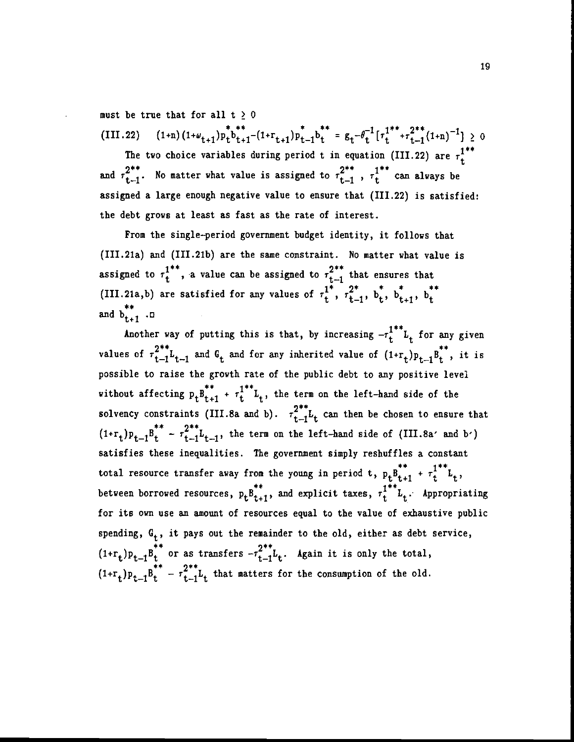must be true that for all  $t \geq 0$ 

\* \*\* \* \* \* \*  $h = g - \theta^{-1} [r^{1**} + r^{2**} (t_{1:n})^{-1}] \times \theta$ (111.22)  $(1+1)(1+\omega_{t+1})p_t^b t_{t+1}-(1+r_{t+1})p_{t-1}^b t = g_t^{\omega}e^{-\omega}e^{-\omega}e^{-\omega}t^{-\frac{1}{2}}t + \frac{1}{2}(1+n)^{-\frac{1}{2}} \geq 0$ 

The two choice variables during period t in equation (III.22) are  $\tau_{+}^{1**}$ and  $\tau_{t-1}^{2^{**}}$ . No matter what value is assigned to  $\tau_{t-1}^{2^{**}}$ ,  $\tau_t^{1^{**}}$  can always be assigned a large enough negative value to ensure that (111.22) is satisfied: the debt grows at least as fast as the rate of interest.

From the single—period government budget identity, it follows that (III.21a) and (III.21b) are the same constraint. No matter what value is assigned to  $\tau_t^{1^{**}}$ , a value can be assigned to  $\tau_{t-1}^{2^{**}}$  that ensures that (III.21a,b) are satisfied for any values of  $\tau_t^{1^*}$ ,  $\tau_{t-1}^{2^*}$ ,  $b_t^*$ ,  $b_{t+1}^*$ ,  $b_t^{**}$ and  $b_{t+1}$  .no

Another way of putting this is that, by increasing  $-r_t^{1**}L_t$  for any given values of  $\tau_{t-1}^{2^{**}}L_{t-1}$  and  $G_t$  and for any inherited value of  $(1+r_t)p_{t-1}B_t^{**}$ , it is possible to raise the growth rate of the public debt to any positive level without affecting  $p_tB_{t+1}^{**} + r_t^{1**}L_t$ , the term on the left-hand side of the solvency constraints (III.8a and b).  $\tau_{t-1}^{2^{**}}L_t$  can then be chosen to ensure that  $(1+r_t)p_{t-1}B_t^{**} - r_{t-1}^{2**}L_{t-1}$ , the term on the left-hand side of (III.8a' and b') satisfies these inequalities. The government simply reshuffles a constant total resource transfer away from the young in period t,  $p_t p_{t+1}^{**} + \tau_t^{1**} L_t$ , between borrowed resources,  $p_t B_{t+1}^{**}$ , and explicit taxes,  $\tau_t^{1**} L_t$ . Appropriating for its own use an amount of resources equal to the value of exhaustive public spending,  $G_t$ , it pays out the remainder to the old, either as debt service,  $(1+r_t)p_{t-1}b_t$  or as transfers  $-r_{t-1}^Lb_t$ . Again it is only the total,  $(1+r_t)p_{t-1}B_t^{**} - r_{t-1}^{2**}L_t$  that matters for the consumption of the old.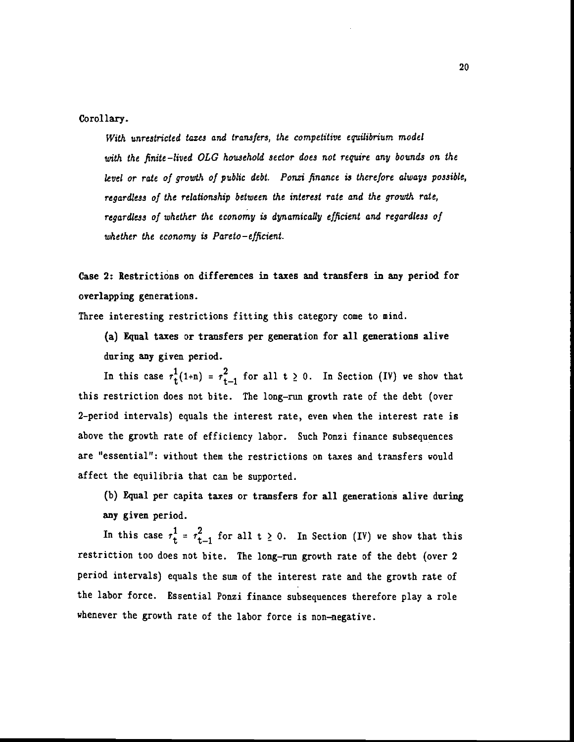Corollary.

With unrestricted taxes and transfers, the competitive equilibrium model with the finite—lived OLG household sector does not require any bounds on the level or rate of growth of public debt. Ponzi finance is therefore always possible, regardless of the relationship between the interest rate and the growth rate, regardless of whether the economy is dynamically efficient and regardless of whether the economy is Pareto-efficient.

Case 2: Restrictions on differences in taxes and transfers in any period for overlapping generations.

Three interesting restrictions fitting this category come to mind.

(a) Equal taxes or transfers per generation for all generations alive daring any given period.

In this case  $\tau_{t}^{1}(1+n) = \tau_{t-1}^{2}$  for all  $t \geq 0$ . In Section (IV) we show that this restriction does not bite. The long—run growth rate of the debt (over 2—period intervals) equals the interest rate, even when the interest rate is above the growth rate of efficiency labor. Such Ponzi finance subsequences are "essential": without them the restrictions on taxes and transfers would affect the equilibria that can be supported.

(b) Equal per capita taxes or transfers for all generations alive during any given period.

In this case  $\tau_t^1 = \tau_{t-1}^2$  for all  $t \ge 0$ . In Section (IV) we show that this restriction too does not bite. The long—run growth rate of the debt (over 2 period intervals) equals the sum of the interest rate and the growth rate of the labor force. Essential Ponzi finance subsequences therefore play a role whenever the growth rate of the labor force is non—negative.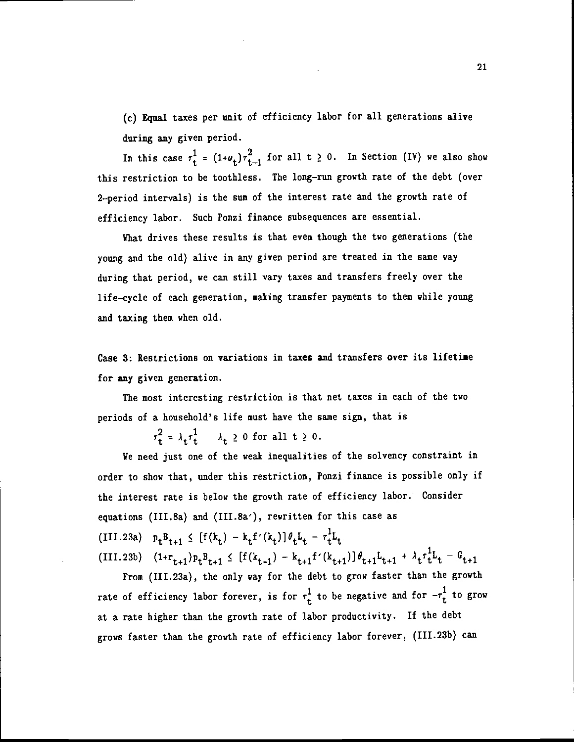(c) Equal taxes per unit of efficiency labor for all generations alive during any given period.

In this case  $\tau_t^{\perp}$  =  $(1+\nu_t)\tau_{t-1}^2$  for all t  $\geq 0$ . In Section (IV) we also show this restriction to be toothless. The long—run growth rate of the debt (over 2—period intervals) is the sum of the interest rate and the growth rate of efficiency labor. Such Ponzi finance subsequences are essential.

What drives these results is that even though the two generations (the young and the old) alive in any given period are treated in the same way during that period, we can still vary taxes and transfers freely over the life—cycle of each generation, making transfer payments to them while young and taxing them when old.

Case 3: Restrictions on variations in taxes and transfers over its lifetime for any given generation.

The most interesting restriction is that net taxes in each of the two periods of a household's life must have the same sign, that is

 $\tau_t^2 = \lambda_t \tau_t^1$   $\lambda_t \geq 0$  for all  $t \geq 0$ .

We need just one of the weak inequalities of the solvency constraint in order to show that, under this restriction, Ponzi finance is possible only if the interest rate is below the growth rate of efficiency labor. Consider equations (III.8a) and (III.Ba'), rewritten for this case as (III.23a)  $p_t B_{t+1} \leq [f(k_t) - k_t f'(k_t)] \theta_t L_t - \tau_t^1 L_t$ (III.23b)  $(1+r_{t+1})p_tB_{t+1} \leq [f(k_{t+1}) - k_{t+1}f'(k_{t+1})]\theta_{t+1}L_{t+1} + \lambda_t\tau_t^1L_t - G_{t+1}$ 

From (III.23a), the only way for the debt to grow faster than the growth rate of efficiency labor forever, is for  $\tau_t^1$  to be negative and for  $-\tau_t^1$  to grow at a rate higher than the growth rate of labor productivity. If the debt grows faster than the growth rate of efficiency labor forever, (III.23b) can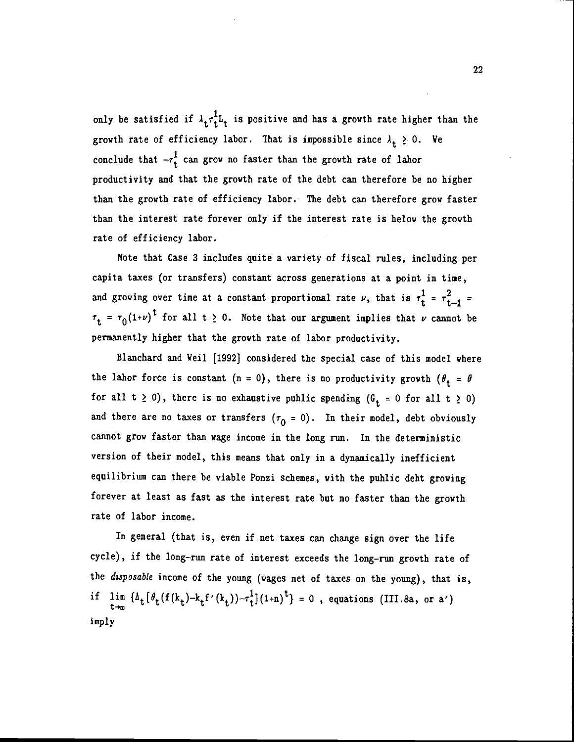only be satisfied if  $\lambda_t \tau_t^1$  is positive and has a growth rate higher than the growth rate of efficiency labor. That is impossible since  $\lambda_t \geq 0$ . We conclude that  $-r_t^1$  can grow no faster than the growth rate of lahor productivity and that the growth rate of the debt can therefore be no higher than the growth rate of efficiency labor. The debt can therefore grow faster than the interest rate forever only if the interest rate is below the growth rate of efficiency labor.

Note that Case 3 includes quite a variety of fiscal rules, including per capita taxes (or transfers) constant across generations at a point in time, and growing over time at a constant proportional rate  $\nu$ , that is  $\tau_t^1 = \tau_{t-1}^2$  =  $\tau_t = \tau_0(1+\nu)^t$  for all t  $\geq 0$ . Note that our argument implies that  $\nu$  cannot be permanently higher that the growth rate of labor productivity.

Blanchard and Weil [1992] considered the special case of this model where the labor force is constant (n = 0), there is no productivity growth ( $\theta_t = \theta$ for all  $t \ge 0$ ), there is no exhaustive public spending  $(G_t = 0 \text{ for all } t \ge 0)$ and there are no taxes or transfers  $(\tau_0 = 0)$ . In their model, debt obviously cannot grow faster than wage income in the long run. In the deterministic version of their model, this means that only in a dynamically inefficient equilibriwn can there be viable Ponzi schemes, with the public debt growing forever at least as fast as the interest rate but no faster than the growth rate of labor income.

In general (that is, even if net taxes can change sign over the life cycle), if the long-run rate of interest exceeds the long-run growth rate of the disposable income of the young (wages net of taxes on the young), that is, if  $\lim_{t\to\infty} {\{\Delta_t [ \theta_t (f(k_t)-k_tf'(k_t))-\tau_t^1\}(1+n)^t \}} = 0$ , equations (III.8a, or a') imply

22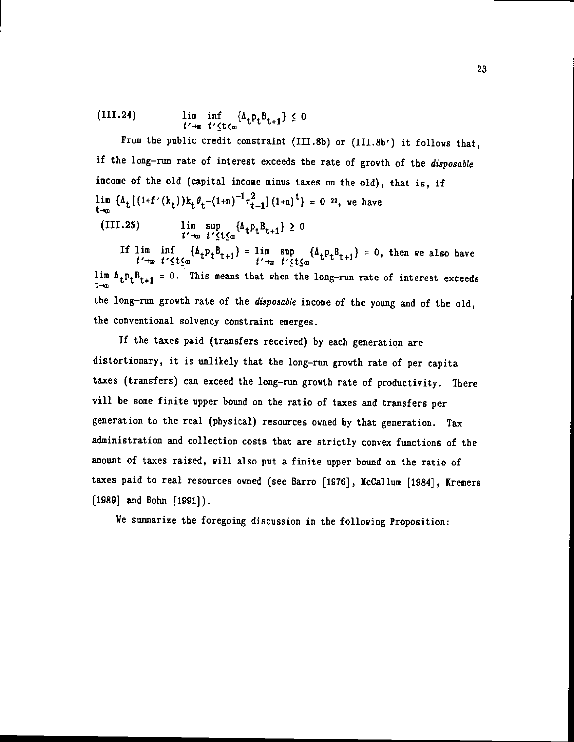(III.24) 
$$
\lim_{t' \to \infty} \inf_{t' \leq t \leq \infty} {\{\Delta_t p_t B_{t+1}\}} \leq 0
$$

From the public credit constraint (III.8b) or (III.8b') it follows that, if the long—nm rate of interest exceeds the rate of growth of the disposable income of the old (capital income minus taxes on the old), that is, if  $\lim_{t\to\infty} {\{\Delta_t\big[(1+f'(k_t))k_t\theta_t-(1+n)^{-1}\tau_{t-1}^2](1+n)^t\}} = 0$  22, we have

(111.25) lim sup  $\{A_{t}p_{t}B_{t+1}\}\geq 0$ V-kr t'<t0

If  $\lim_{t'\to\infty} \inf_{t'\leq t\leq \infty} {\{\Delta_t p_t B_{t+1}\}} = \lim_{t'\to\infty} \sup_{t'\leq t\leq \infty} {\{\Delta_t p_t B_{t+1}\}} = 0$ , then we also have lim  $\Delta_t p_t B_{t+1} = 0$ . This means that when the long-run rate of interest exceeds the long-run growth rate of the disposable income of the young and of the old, the conventional solvency constraint emerges.

If the taxes paid (transfers received) by each generation are distortionary, it is unlikely that the long—run growth rate of per capita taxes (transfers) can exceed the long-run growth rate of productivity. There will be some finite upper bound on the ratio of taxes and transfers per generation to the real (physical) resources owned by that generation. Tax administration and collection costs that are strictly convex functions of the amount of taxes raised, will also put a finite upper bound on the ratio of taxes paid to real resources owned (see Barro [1976], Iccallun [1984] , Kremers [1989) and Bohn [1991}).

We summarize the foregoing discussion in the following Proposition:

٦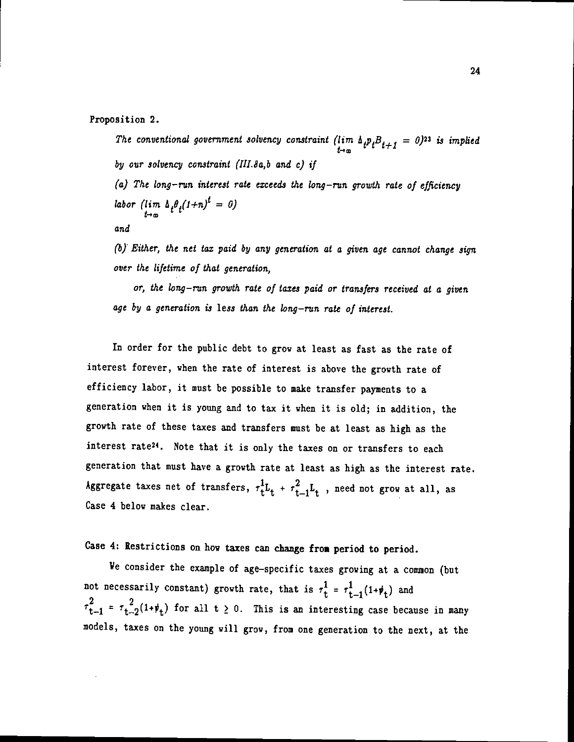Proposition 2.

The conventional government solvency constraint  $(\lim_{t\to\infty} \Lambda_t p_t B_{t+1} = 0)^{23}$  is implied by our solvency constraint (IIL8a,b and c) if  $(a)$  The long-run interest rate exceeds the long-run growth rate of efficiency labor (lim  $\int_{t\to\infty}^t \int_{t}^{\theta} f(t+n)^t = 0$ )

and

(6) Either, the net tax paid by any generation at a given age cannot change sign over the lifetime of that generation,

or, the long—run growth rate of taxes paid or transfers received at a given age by a generation is less than the long—run rate of interest.

In order for the public debt to grow at least as fast as the rate of interest forever, when the rate of interest is above the growth rate of efficiency labor, it must be possible to make transfer payments to a generation when it is young and to tax it when it is old; in addition, the growth rate of these taxes and transfers must be at least as high as the interest rate24. Note that it is only the taxes on or transfers to each generation that must have a growth rate at least as high as the interest rate. Aggregate taxes net of transfers,  $\tau_t^1L_t + \tau_{t-1}^2L_t$ , need not grow at all, as Case 4 below makes clear.

Case 4: Restrictions on how taxes can change from period to period.

Ye consider the example of age—specific taxes growing at a common (but not necessarily constant) growth rate, that is  $\tau_t^1 = \tau_{t-1}^1(1+\psi_t)$  and  $\tau_{t-1}^2 = \tau_{t-2}^2(1+\psi_t)$  for all  $t \geq 0$ . This is an interesting case because in many models, taxes on the young will grow, from one generation to the next, at the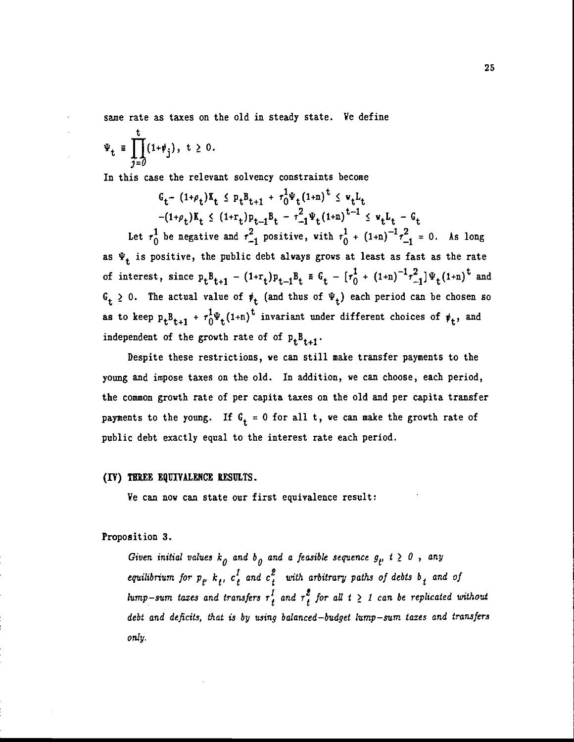same rate as taxes on the old in steady state. We define

$$
\Psi_{t} \equiv \prod_{j=0}^{t} (1+\psi_{j}), \quad t \geq 0.
$$

In this case the relevant solvency constraints become

$$
G_t - (1+\rho_t)K_t \leq P_t B_{t+1} + r_0^1 \Psi_t (1+n)^{t} \leq \Psi_t L_t
$$
  
\n
$$
-(1+\rho_t)K_t \leq (1+r_t)P_{t-1}B_t - r_{-1}^2 \Psi_t (1+n)^{t-1} \leq \Psi_t L_t - G_t
$$
  
\nLet  $r_0^1$  be negative and  $r_{-1}^2$  positive, with  $r_0^1 + (1+n)^{-1}r_{-1}^2 = 0$ . As long  
\nas  $\Psi_t$  is positive, the public debt always grows at least as fast as the rate  
\nof interest, since  $p_t B_{t+1} - (1+r_t) p_{t-1} B_t \equiv G_t - [r_0^1 + (1+n)^{-1}r_{-1}^2] \Psi_t (1+n)^{t}$  and  
\n $G_t \geq 0$ . The actual value of  $\psi_t$  (and thus of  $\Psi_t$ ) each period can be chosen so  
\nas to keep  $p_t B_{t+1} + r_0^1 \Psi_t (1+n)^{t}$  invariant under different choices of  $\psi_t$ , and  
\nindependent of the growth rate of of  $p_t B_{t+1}$ .

Despite these restrictions, we can still make transfer payments to the young and impose taxes on the old. In addition, we can choose, each period, the common growth rate of per capita taxes on the old and per capita transfer payments to the young. If  $G_t = 0$  for all t, we can make the growth rate of public debt exactly equal to the interest rate each period.

## (IV) TEREE EQUIVALENCE RESULTS.

We can now can state our first equivalence result:

Proposition 3.

Given initial values  $k_0$  and  $b_0$  and a feasible sequence  $g_t$ ,  $t \geq 0$ , any equilibrium for  $p_t$ ,  $k_t$ ,  $c_t^l$  and  $c_t^2$  with arbitrary paths of debts  $b_t$  and of lump-sum taxes and transfers  $\tau_t^l$  and  $\tau_t^g$  for all  $t \geq 1$  can be replicated without debt and deficits, that is by using balanced—budget lump—sum taxes and transfers only.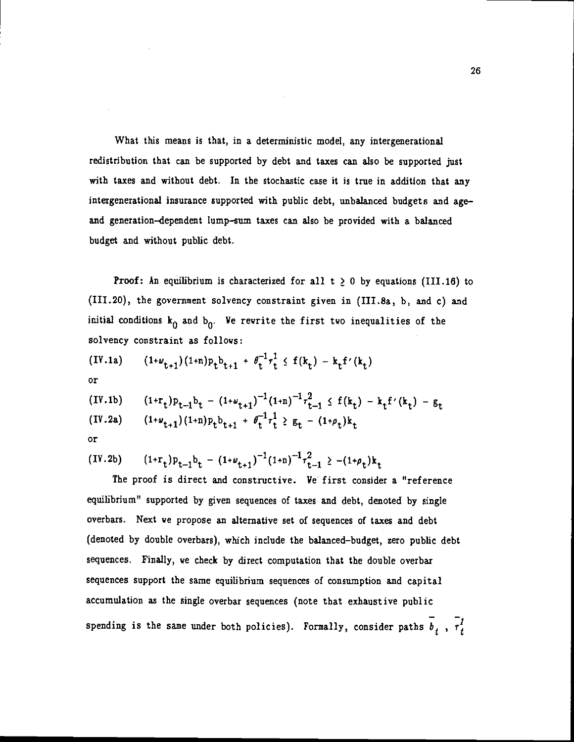What this means is that, in a deterministic model, any intergenerational redistribution that can be supported by debt and taxes can also be supported just with taxes and without debt. In the stochastic case it is true in addition that any intergenerational insurance supported with public debt, unbalanced budgets and age and generation—dependent lump—sum taxes can also be provided with a balanced budget and without public debt.

**Proof:** An equilibrium is characterized for all  $t \geq 0$  by equations (III.16) to (111.20), the government solvency constraint given in (III.8a, b, and c) and initial conditions  $k_0$  and  $b_0$ . We rewrite the first two inequalities of the solvency constraint as follows:

$$
(IV.1a) \qquad (1+\omega_{t+1})(1+n)p_t b_{t+1} + \theta_t^{-1} \tau_t^1 \leq f(k_t) - k_t f'(k_t)
$$

or

(IV.1b) 
$$
(1+r_t)p_{t-1}b_t - (1+\omega_{t+1})^{-1}(1+n)^{-1}r_{t-1}^2 \le f(k_t) - k_t f'(k_t) - g_t
$$
  
(IV.2a)  $(1+\omega_{t+1})(1+n)p_t b_{t+1} + \theta_t^{-1}r_t^1 \ge g_t - (1+\rho_t)k_t$ 

or

(IV.2b) 
$$
(1+r_t)p_{t-1}b_t - (1+\nu_{t+1})^{-1}(1+n)^{-1}r_{t-1}^2 \ge -(1+\rho_t)k_t
$$

The proof is direct and constructive. We first consider a "reference equilibrium" supported by given sequences of taxes and debt, denoted by single overbars. Next we propose an alternative set of sequences of taxes and debt (denoted by double overbars), which include the balanced—budget, zero public debt sequences. Finally, we check by direct computation that the double overbar sequences support the same equilibrium sequences of consumption and capital accumulation as the single overbar sequences (note that exhaustive public spending is the same under both policies). Formally, consider paths  $\overline{b}_t$ ,  $\overline{t}_t^1$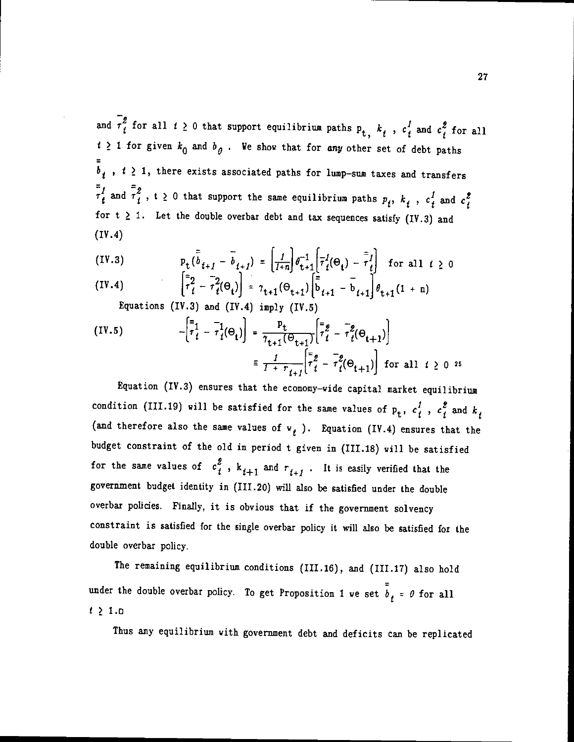and  $\overline{r}_t^2$  for all  $t \ge 0$  that support equilibrium paths  $p_t$ ,  $k_t$ ,  $c_t^1$  and  $c_t^2$  for all  $t \geq 1$  for given  $k_0$  and  $b_{\theta}$ . We show that for any other set of debt paths  $\overline{b}_t$ ,  $t \geq 1$ , there exists associated paths for lump-sum taxes and transfers  $\overline{\tau}_t^1$  and  $\overline{\tau}_t^2$ , t  $\geq$  0 that support the same equilibrium paths  $p_t$ ,  $k_t$ ,  $c_t^1$  and  $c_t^2$ for  $t \geq 1$ . Let the double overbar debt and tax sequences satisfy (IV.3) and (IV.4)

(IV.3) 
$$
p_t(\bar{b}_{t+1} - \bar{b}_{t+1}) = \left| \frac{1}{1+n} \right| \theta_{t+1}^{-1} \left[ \overline{\tau}_t^1(\Theta_t) - \overline{\tau}_t^1 \right] \text{ for all } t \ge 0
$$

(IV.4) 
$$
\left[\tau_{t}^{2} - \tau_{t}^{2}(\Theta_{t})\right] = \tau_{t+1}(\Theta_{t+1})\left[\bar{b}_{t+1} - b_{t+1}\right]\theta_{t+1}(1+n)
$$

Equations (IV.3) and (IY.4) imply (IV.5)

(IV.5) 
$$
- \left[ \overline{r}_t^1 - \overline{r}_t^1(\Theta_t) \right] = \frac{P_t}{\tau_{t+1}(\Theta_{t+1})} \left[ \overline{r}_t^2 - \overline{r}_t^2(\Theta_{t+1}) \right]
$$

$$
\equiv \frac{1}{1 + \overline{r}_{t+1}} \left[ \overline{r}_t^2 - \overline{r}_t^2(\Theta_{t+1}) \right] \text{ for all } t \ge 0 \text{ as}
$$

Equation (IV.3) ensures that the economy—wide capital market equilibrium condition (III.19) will be satisfied for the same values of  $p_t$ ,  $c_t^f$  ,  $c_t^g$  and  $k_t$ (and therefore also the same values of  $v_i$  ). Equation (IV.4) ensures that the budget constraint of the old in period t given in (111.18) will be satisfied for the same values of  $c_i^2$ ,  $k_{t+1}$  and  $r_{t+1}$ . It is easily verified that the government budget identity in (111.20) will also be satisfied under the double overbar policies. Finally, it is obvious that if the government solvency constraint is satisfied for the single overbar policy it will also be satisfied for the double overbar policy.

The remaining equilibrium conditions (111.16), and (111.17) also hold under the double overbar policy. To get Proposition 1 we set  $\bar{b}_t = 0$  for all  $t \geq 1.0$ 

Thus any equilibrium with government debt and deficits can be replicated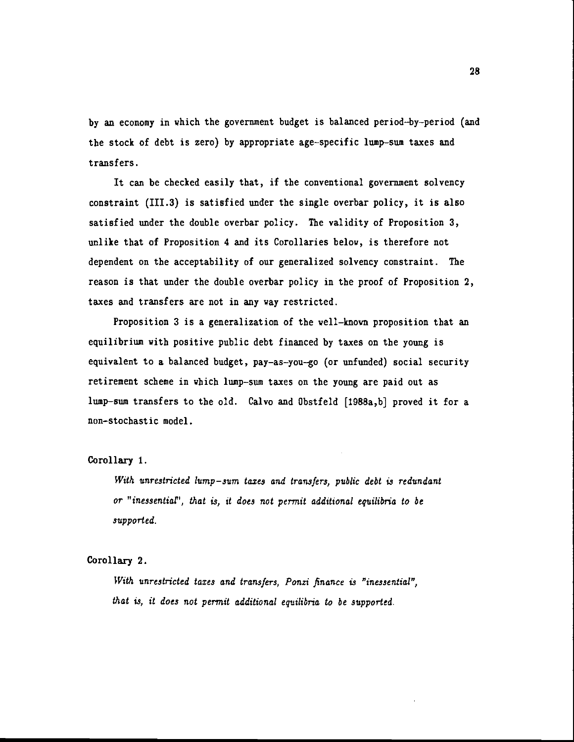by an economy in which the government budget is balanced period—by—period (and the stock of debt is zero) by appropriate age—specific lump—sum taxes and transfers.

It can be checked easily that, if the conventional government solvency constraint (111.3) is satisfied under the single overbar policy, it is also satisfied under the double overbar policy. The validity of Proposition 3, unlike that of Proposition 4 and its Corollaries belov, is therefore not dependent on the acceptability of our generalized solvency constraint. The reason is that under the double overbar policy in the proof of Proposition 2, taxes and transfers are not in any way restricted.

Proposition 3 is a generalization of the well—known proposition that an equilibrium with positive public debt financed by taxes on the young is equivalent to a balanced budget, pay—as—you—go (or unfunded) social security retirement scheme in which lump—sum taxes on the young are paid out as lump—sum transfers to the old. Calvo and Obstfeld [1988a,b] proved it for a non—stochastic model.

### Corollary 1.

With unrestricted lump-sum taxes and transfers, public debt is redundant or "inessential", that is, it does not permit additional equilibria to be supported.

### Corollary 2.

With unrestricted taxes and transfers. Ponzi finance is "inessential", that is, it does not permit additional equilibria to be supported.

28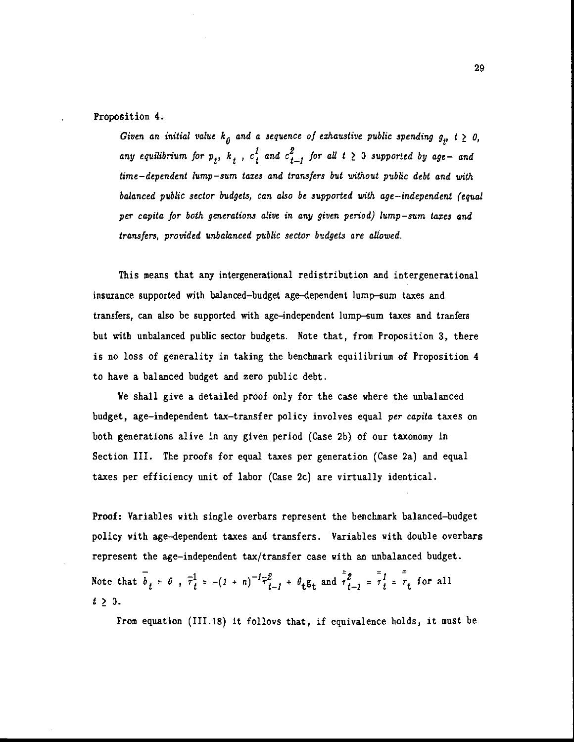#### Proposition 4.

Given an initial value  $k_{\theta}$  and a sequence of exhaustive public spending  $g_{\mu}$ ,  $t \geq 0$ , any equilibrium for  $p_t$ ,  $k_t$ ,  $c_t^f$  and  $c_{t-1}^g$  for all  $t \geq 0$  supported by age- and time—dependent lump—sum taxes and transfers but without public debt and with balanced public sector budgets, can also be supported with age—independent (equal per capita for both generations alive in any given period) lump—sum taxes and transfers, provided unbalanced public sector budgets are allowed.

This means that any intergenerational redistribution and intergenerational insurance supported with balanced—budget age—dependent lump—sum taxes and transfers, can also be supported with age—independent lump—sum taxes and tranfers but with unbalanced public sector budgets. Note that, from Proposition 3, there is no loss of generality in taking the benchmark equilibrium of Proposition 4 to have a balanced budget and zero public debt.

We shall give a detailed proof only for the case where the unbalanced budget, age-independent tax-transfer policy involves equal per capita taxes on both generations alive in any given period (Case 2b) of our taxonomy in Section III. The proofs for equal taxes per generation (Case 2a) and equal taxes per efficiency unit of labor (Case 2c) are virtually identical.

Proof: Variables with single overbars represent the benchmark balanced—budget policy with age—dependent taxes and transfers. Variables with double overbars represent the age-independent tax/transfer case with an unbalanced budget. Note that  $\overline{b}_t = 0$ ,  $\overline{\tau}_t^1 = -(1 + n)^{-1} \overline{\tau}_{t-1}^2 + \theta_t \overline{\epsilon}_t$  and  $\overline{\tau}_{t-1}^2 = \overline{\tau}_t^1 = \overline{\tau}_t$  for all  $t \geq 0$ .

From equation (111.18) it follows that, if equivalence holds, it must be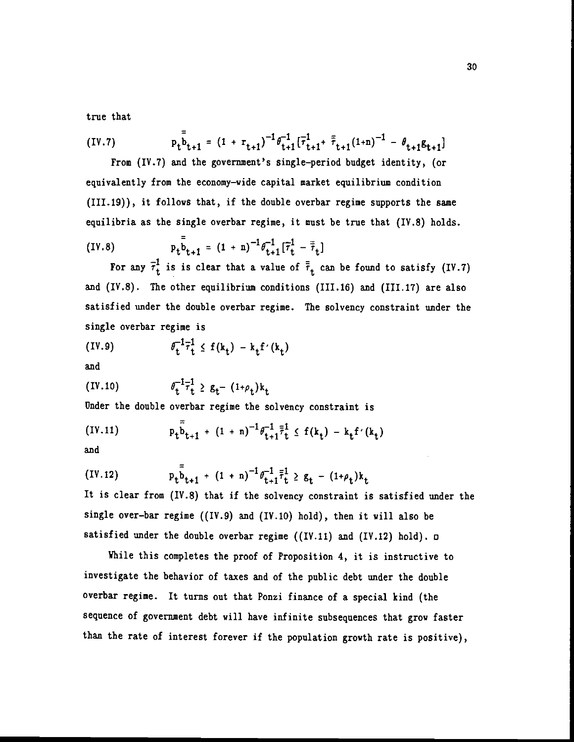true that

(IV.7) 
$$
p_t \bar{b}_{t+1} = (1 + r_{t+1})^{-1} \theta_{t+1}^{-1} (\bar{r}_{t+1}^1 + \bar{r}_{t+1} (1+n))^{-1} - \theta_{t+1} \mathbf{g}_{t+1}
$$
  
From (IV.7) and the government's single-period budget identity, (or

equivalently from the economy—wide capital market equilibrium condition (111.19)), it follows that, if the double overbar regime supports the same equilibria as the single overbar regime, it must be true that (IV.8) holds.

(IV.8) 
$$
p_t \bar{b}_{t+1} = (1 + n)^{-1} \theta_{t+1}^{-1} [\bar{\tau}_t^1 - \bar{\bar{\tau}}_t]
$$

For any  $\bar{\tau}_t^1$  is is clear that a value of  $\bar{\bar{\tau}}_t$  can be found to satisfy (IV.7) and (IV.8). The other equilibrium conditions (111.16) and (111.17) are also satisfied under the double overbar regime. The solvency constraint under the single overbar regime is

$$
(IV.9) \qquad \qquad \theta_t^{-1} \bar{\tau}_t^1 \leq f(k_t) - k_t f'(k_t)
$$

and

(IV.10) 
$$
\theta_t^{-1} \overline{\tau}_t^1 \ge g_t - (1 + \rho_t) k_t
$$

Under the double overbar regime the solvency constraint is

(IV.11) 
$$
p_t \bar{b}_{t+1} + (1 + n)^{-1} \theta_{t+1}^{-1} \bar{f}_t^1 \leq f(k_t) - k_t f'(k_t)
$$

and

(IV.12) 
$$
p_t \bar{b}_{t+1} + (1 + n)^{-1} \theta_{t+1}^{-1} \bar{r}_t^1 \ge g_t - (1 + \rho_t) k_t
$$

It is clear from (IY.S) that if the solvency constraint is satisfied under the single over—bar regime ((IV.9) and (IV.10) hold), then it will also be satisfied under the double overbar regime ((IV.11) and (IV.12) hold).  $\square$ 

While this completes the proof of Proposition 4, it is instructive to investigate the behavior of taxes and of the public debt under the double overbar regime. It turns out that Ponzi finance of a special kind (the sequence of government debt will have infinite subsequences that grow faster than the rate of interest forever if the population growth rate is positive),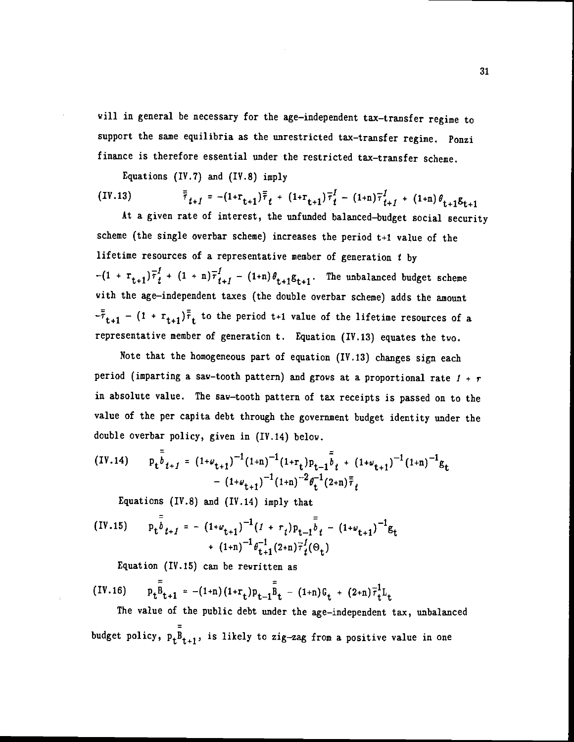will in general be necessary for the age-independent tax-transfer regime to support the same equilibria as the unrestricted tax—transfer regime. Ponzi finance is therefore essential under the restricted tax—transfer scheme.

Equations (IV.7) and  $(IV.8)$  imply

$$
(IV.13) \qquad \qquad \bar{\bar{\tau}}_{t+1} = - (1 + r_{t+1}) \bar{\bar{\tau}}_t + (1 + r_{t+1}) \bar{\tau}_t^1 - (1 + n) \bar{\tau}_{t+1}^1 + (1 + n) \theta_{t+1} g_{t+1}
$$

At a given rate of interest, the unfunded balanced—budget social security scheme (the single overbar scheme) increases the period t+1 value of the lifetime resources of a representative member of generation  $t$  by  $-(1 + r_{t+1})\overline{r}_{t}^{1} + (1 + n)\overline{r}_{t+1}^{1} - (1+n)\theta_{t+1}\mathbf{g}_{t+1}$ . The unbalanced budget scheme with the age-independent taxes (the double overbar scheme) adds the amount -  $(1 + r_{t+1})\bar{\bar{r}}_t$  to the period t+1 value of the lifetime resources of a representative member of generation t. Equation (IY.13) equates the two.

Note that the homogeneous part of equation (IV.13) changes sign each period (imparting a saw-tooth pattern) and grows at a proportional rate  $1 + r$ in absolute value. The saw—tooth pattern of tax receipts is passed on to the value of the per capita debt through the government budget identity under the double overbar policy, given in (IV.14) below.

$$
(IV.14) \t p_t \bar{b}_{t+1} = (1+\omega_{t+1})^{-1} (1+n)^{-1} (1+r_t) p_{t-1} \bar{b}_t + (1+\omega_{t+1})^{-1} (1+n)^{-1} g_t - (1+\omega_{t+1})^{-1} (1+n)^{-2} \theta_t^{-1} (2+n) \bar{r}_t
$$

Equations (IV.8) and (IV.14) imply that

(IV.15) 
$$
p_t \bar{b}_{t+1} = -(1 + \omega_{t+1})^{-1} (I + r_t) p_{t-1} \bar{b}_t - (1 + \omega_{t+1})^{-1} g_t + (1 + n)^{-1} \theta_{t+1}^{-1} (2 + n) \bar{r}_t^{1} (\Theta_t)
$$

Equation (IV.15) can be rewritten as

(IV.16) 
$$
p_t \bar{B}_{t+1} = -(1+n) (1+r_t) p_{t-1} \bar{B}_t - (1+n) G_t + (2+n) \bar{\tau}_t^1 L_t
$$

The value of the public debt under the age-independent tax, unbalanced budget policy,  $p_tB_{t+1}$ , is likely to zig-zag from a positive value in one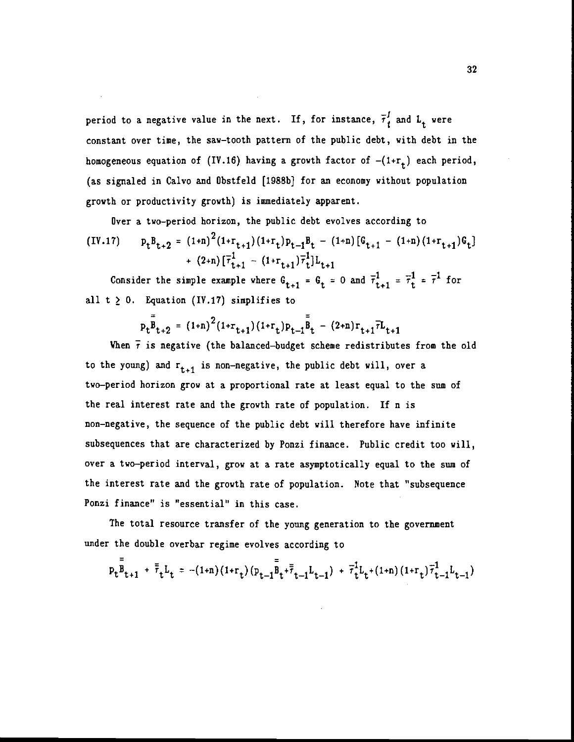period to a negative value in the next. If, for instance,  $\bar{\tau}_t^I$  and  $L_t$  were constant over time, the saw—tooth pattern of the public debt, with debt in the homogeneous equation of (IV.16) having a growth factor of  $-(1+r_t)$  each period, (as signaled in Calvo and Obstfeld [1988bJ for an economy without population growth or productivity growth) is immediately apparent.

Over a two—period horizon, the public debt evolves according to  $(V.17)$   $p_t B_{t+2} = (1+n)^2 (1+r_{t+1})(1+r_t) p_{t-1} B_t - (1+n) [G_{t+1} - (1+n) (1+r_{t+1}) G_t]$ +  $(2+n)\left[\overline{\tau}_{t+1}^1 - (1+r_{t+1})\overline{\tau}_t^1\right]$ 

Consider the simple example where  $G_{t+1} = G_t = 0$  and  $\overline{\tau}_{t+1}^1 = \overline{\tau}_t^1 = \overline{\tau}^1$  for all  $t \geq 0$ . Equation (IV.17) simplifies to

$$
p_t \bar{B}_{t+2} = (1+n)^2 (1+r_{t+1}) (1+r_t) p_{t-1} \bar{B}_t - (2+n) r_{t+1} \bar{r} L_{t+1}
$$

When  $\bar{\tau}$  is negative (the balanced-budget scheme redistributes from the old to the young) and  $r_{t+1}$  is non-negative, the public debt will, over a two—period horizon grow at a proportional rate at least equal to the sum of the real interest rate and the growth rate of population. If n is non—negative, the sequence of the public debt will therefore have infinite subsequences that are characterized by Ponzi finance. Public credit too will, over a two—period interval, grow at a rate asymptotically equal to the sum of the interest rate and the growth rate of population. Note that "subsequence Ponzi finance" is "essential" in this case.

The total resource transfer of the young generation to the government under the double overbar regime evolves according to

$$
p_t \bar{B}_{t+1} + \bar{\bar{\tau}}_t L_t = -(1+n)(1+r_t)(p_{t-1} \bar{B}_t + \bar{\bar{\tau}}_{t-1} L_{t-1}) + \bar{\tau}_t^1 L_t + (1+n)(1+r_t) \bar{\tau}_{t-1}^1 L_{t-1})
$$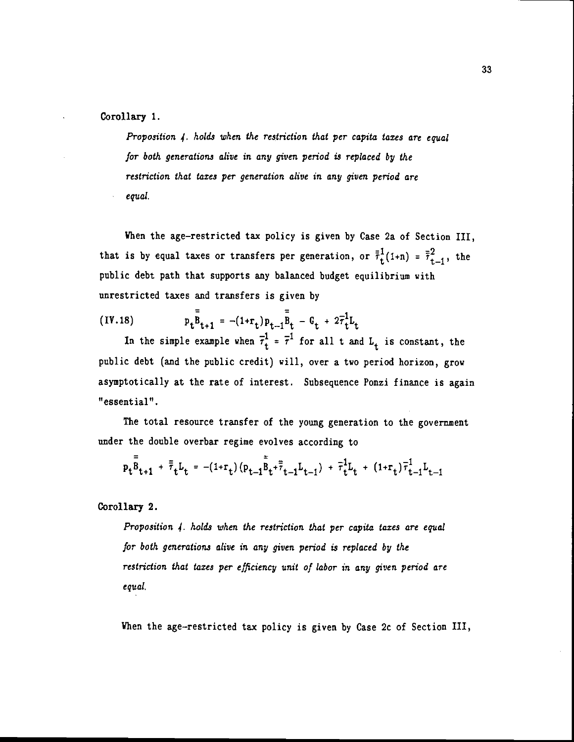Corollary 1.

Proposition 4. holds when the restriction that per capita taxes are equal for both generations alive in any given period is replaced by the restriction that taxes per generation alive in any given period are equal.

When the age-restricted tax policy is given by Case 2a of Section III, that is by equal taxes or transfers per generation, or  $\bar{\bar{r}}_t^1$  (1+n) =  $\bar{\bar{r}}_{t-1}^2$ , the public debt path that supports any balanced budget equilibrium with unrestricted taxes and transfers is given by

(IV.18)  $p_t \bar{B}_{t+1} = -(1+r_t)p_{t-1} \bar{B}_t - G_t + 2\bar{r}_t^1 L_t$ 

In the simple example when  $\overline{\tau}_{t}^{1} = \overline{\tau}^{1}$  for all t and  $L_{t}$  is constant, the public debt (and the public credit) will, over a two period horizon, grow asymptotically at the rate of interest. Subsequence Ponzi finance is again "essential".

The total resource transfer of the young generation to the government under the double overbar regime evolves according to

$$
p_t \bar{B}_{t+1} + \bar{\bar{\tau}}_t L_t = -(1+r_t) (p_{t-1} \bar{B}_t + \bar{\bar{\tau}}_{t-1} L_{t-1}) + \bar{\tau}_t^1 L_t + (1+r_t) \bar{\tau}_{t-1}^1 L_{t-1}
$$

Corollary 2.

Proposition 4. holds when the restriction that per capita taxes are equal for both generations alive in any given period is replaced by the restriction that taxes per efficiency unit of labor in any given period are equal.

When the age-restricted tax policy is given by Case 2c of Section III,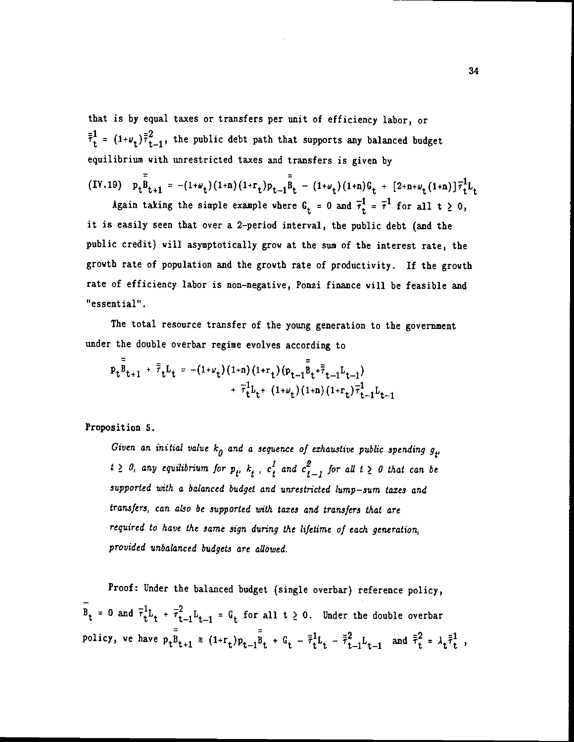that is by equal taxes or transfers per unit of efficiency labor, or  $\bar{\bar{r}}_t^1 = (1 + \nu_t) \bar{\bar{r}}_{t-1}^2$ , the public debt path that supports any balanced budget equilibrium with unrestricted taxes and transfers is given by

$$
(IV.19) \quad p_t \bar{B}_{t+1} = -(1+\omega_t)(1+n)(1+r_t)p_{t-1} \bar{B}_t - (1+\omega_t)(1+n)G_t + [2+n+\omega_t(1+n)]\bar{\tau}_t^1L_t
$$

Again taking the simple example where  $G_t = 0$  and  $\bar{\tau}_t^1 = \bar{\tau}^1$  for all  $t \ge 0$ , it is easily seen that over a 2—period interval, the public debt (and the public credit) will asymptotically grow at the sum of the interest rate, the growth rate of population and the growth rate of productivity. If the growth rate of efficiency labor is non—negative, Ponzi finance will be feasible and "essential".

The total resource transfer of the young generation to the government under the double overbar regime evolves according to

$$
p_t \bar{B}_{t+1} + \bar{\bar{\tau}}_t L_t = -(1+\omega_t) (1+n) (1+r_t) (p_{t-1} \bar{B}_t + \bar{\bar{\tau}}_{t-1} L_{t-1}) + \bar{\tau}_t^1 L_t + (1+\omega_t) (1+n) (1+r_t) \bar{\tau}_{t-1}^1 L_{t-1}
$$

Proposition 5.

Given an initial value  $k_0$  and a sequence of exhaustive public spending  $g_{\mu}$  $\geq$  0, any equilibrium for  $p_t$ ,  $k_t$ ,  $c_t^t$  and  $c_{t-1}^z$  for all  $t \geq 0$  that can be supported with a balanced budget and unrestricted lump—sum taxes and transfers, can aLso be supported with taxes and transfers that are required to have the same sign during the lifetime of each generation, provided unbalanced budgets are allowed.

Proof: Under the balanced budget (single overbar) reference policy,  $\bar{B}_t = 0$  and  $\bar{\tau}_t^1 L_t + \bar{\tau}_{t-1}^2 L_{t-1} = G_t$  for all  $t \geq 0$ . Under the double overbar policy, we have  $p_t\bar{B}_{t+1} = (1+r_t)p_{t-1}\bar{B}_t + G_t - \bar{r}_t^1L_t - \bar{r}_{t-1}^2L_{t-1}$  and  $\bar{r}_t^2 = \lambda_t\bar{r}_t^1$ ,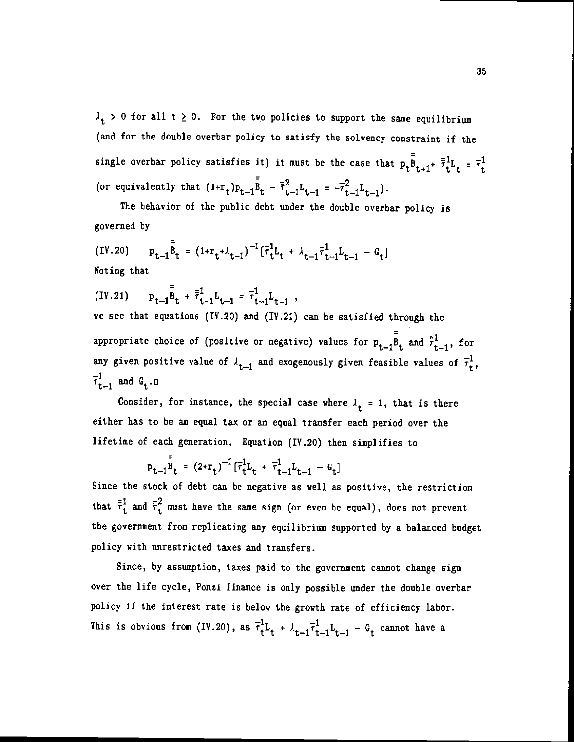$\lambda_t > 0$  for all t  $\geq 0$ . For the two policies to support the same equilibrium (and for the double overbar policy to satisfy the solvency constraint if the single overbar policy satisfies it) it must be the case that  $p_t \overline{B}_{t+1} + \overline{\overline{\tau}}_t^1 L_t = \overline{\tau}_t^1$ (or equivalently that  $(1+r_t)p_{t-1}\bar{B}_t - \bar{r}_{t-1}^2L_{t-1} = -\bar{r}_{t-1}^2L_{t-1}$ ).

The behavior of the public debt under the double overbar policy is governed by

 $(V.20)$   $P_{t-1} = \frac{1}{2} \left[1 + \frac{1}{2} + \lambda_{t-1}\right]^{-1} \left[\overline{r}_t^1 L_t + \lambda_{t-1} \overline{r}_t^1 L_{t-1} - G_t\right]$ Noting that

$$
(IV.21) \t\t p_{t-1} \bar{B}_t + \bar{t}^1_{t-1} L_{t-1} = \bar{t}^1_{t-1} L_{t-1} ,
$$

we see that equations (IV.20) and (IY.21) can be satisfied through the appropriate choice of (positive or negative) values for  $P_{t-1}P_{t}$  and  $\bar{t}_{t-1}^1$ , for any given positive value of  $\lambda_{t-1}$  and exogenously given feasible values of  $\bar{\tau}_t^1$ .  $\bar{\tau}_{t-1}^1$  and  $G_t$ .

Consider, for instance, the special case where  $\lambda_t = 1$ , that is there either has to be an equal tax or an equal transfer each period over the lifetime of each generation. Equation (IY.20) then simplifies to

 $p_{t-1}\bar{B}_t = (2+r_t)^{-1} [\bar{\tau}_t^1 L_t + \bar{\tau}_{t-1}^1 L_{t-1} - G_t]$ 

Since the stock of debt can be negative as well as positive, the restriction that  $\bar{\bar{r}}_t^1$  and  $\bar{\bar{r}}_t^2$  must have the same sign (or even be equal), does not prevent the government from replicating any equilibrium supported by a balanced budget policy with unrestricted taxes and transfers.

Since, by assumption, taxes paid to the government cannot change sign over the life cycle, Ponzi finance is only possible under the double overbar policy if the interest rate is below the growth rate of efficiency labor. This is obvious from (IV.20), as  $\overline{\tau}_{t}^{1}L_{t} + \lambda_{t-1}\overline{\tau}_{t-1}^{1}L_{t-1} - G_{t}$  cannot have a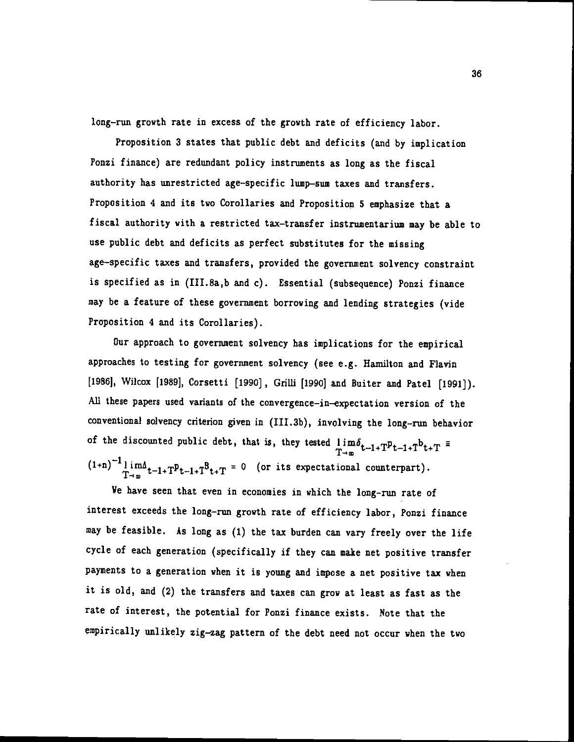long—run growth rate in excess of the growth rate of efficiency labor.

Proposition 3 states that public debt and deficits (and by implication Ponzi finance) are redundant policy instruments as long as the fiscal authority has unrestricted age—specific lump—sum taxes and transfers. Proposition 4 and its two Corollaries and Proposition 5 emphasize that a fiscal authority with a restricted tax—transfer instrumentarium may be able to use public debt and deficits as perfect substitutes for the missing age—specific taxes and transfers, provided the government solvency constraint is specified as in (III.Sa,b and c). Essential (subsequence) Ponzi finance may be a feature of these government borrowing and lending strategies (vide Proposition 4 and its Corollaries).

Our approach to government solvency has implications for the empirical approaches to testing for government solvency (see e.g. Hamilton and Flavin [1986], Wilcox [1989], Corsetti [1990], Grilli [1990] and Buiter and Patel [1991]). All these papers used variants of the convergence—in—expectation version of the conventional solvency criterion given in (III.3b), involving the long—run behavior of the discounted public debt, that is, they tested  $\lim_{\delta_{t-1}\downarrow T}$  $T \rightarrow \infty$   $t \rightarrow 1+T$ ,  $r \rightarrow T+T$   $t+T$  $(1+n)^{-1}$ lim $_A^1$ <sub>T-in</sub> $A$ <sub>t-1+T</sub> $_1^B$ <sub>t+T</sub> = 0 (or its expectational counterpart).

We have seen that even in economies in which the long—run rate of interest exceeds the long—run growth rate of efficiency labor, Ponzi finance may be feasible. As long as (1) the tax burden can vary freely over the life cycle of each generation (specifically if they can make net positive transfer payments to a generation when it is young and impose a net positive tax when it is old, and (2) the transfers and taxes can grow at least as fast as the rate of interest, the potential for Ponzi finance exists. Note that the empirically unlikely zig—zag pattern of the debt need not occur when the two

36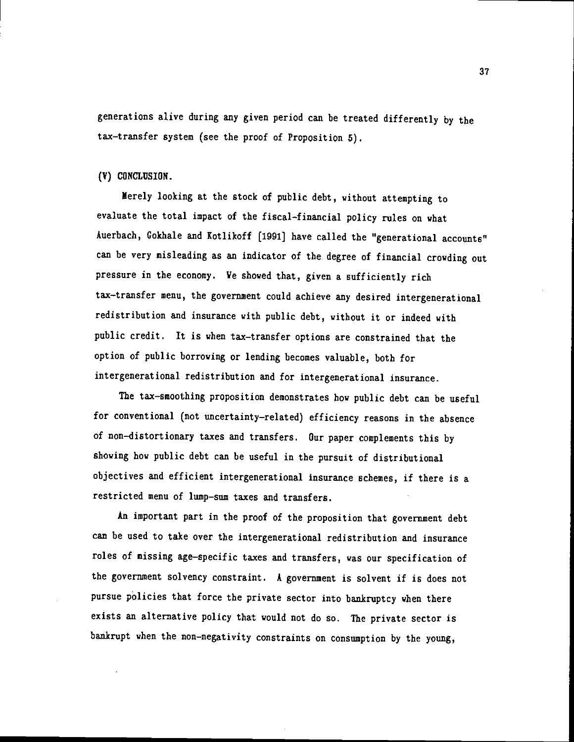generations alive during any given period can be treated differently by the tax—transfer system (see the proof of Proposition 5).

## (V) CONCLUSION.

Merely looking at the stock of public debt, without attempting to evaluate the total impact of the fiscal—financial policy nles on what Auerbach, Cokhale and Kotlikoff [1991] have called the "generational accounts" can be very misleading as an indicator of the degree of financial crowding out pressure in the economy. We shoved that, given a sufficiently rich tax—transfer menu, the government could achieve any desired intergenerational redistribution and insurance with public debt, without it or indeed with public credit. It is when tax—transfer options are constrained that the option of public borrowing or lending becomes valuable, both for intergenerational redistribution and for intergenerational insurance.

The tax—smoothing proposition demonstrates how public debt can be useful for conventional (not uncertainty—related) efficiency reasons in the absence of non—distortionary taxes and transfers. Our paper complements this by shoving how public debt can be useful in the pursuit of distributional objectives and efficient intergenerational insurance schemes, if there is a restricted menu of lump—sum taxes and transfers.

An important part in the proof of the proposition that government debt can be used to take over the intergenerational redistribution and insurance roles of missing age—specific taxes and transfers, was our specification of the government solvency constraint. A government is solvent if is does not pursue policies that force the private sector into bankruptcy when there exists an alternative policy that would not do so. The private sector is bankrupt when the non—negativity constraints on consumption by the young,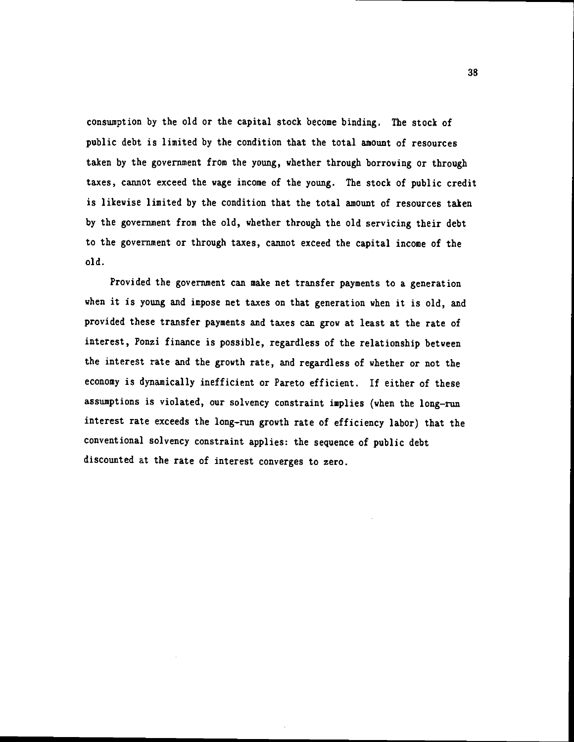consumption by the old or the capital stock become binding. The stock of public debt is limited by the condition that the total amount of resources taken by the government from the young, whether through borrowing or through taxes, cannot exceed the wage income of the young. The stock of public credit is likewise limited by the condition that the total amount of resources taken by the government from the old, whether through the old servicing their debt to the government or through taxes, cannot exceed the capital income of the old.

Provided the government can make net transfer payments to a generation when it is young and impose net taxes on that generation when it is old, and provided these transfer payments and taxes can grow at least at the rate of interest, Ponzi finance is possible, regardless of the relationship between the interest rate and the growth rate, and regardless of whether or not the economy is dynamically inefficient or Pareto efficient. If either of these assumptions is violated, our solvency constraint implies (when the long—run interest rate exceeds the long—run growth rate of efficiency labor) that the conventional solvency constraint applies: the sequence of public debt discounted at the rate of interest converges to zero.

38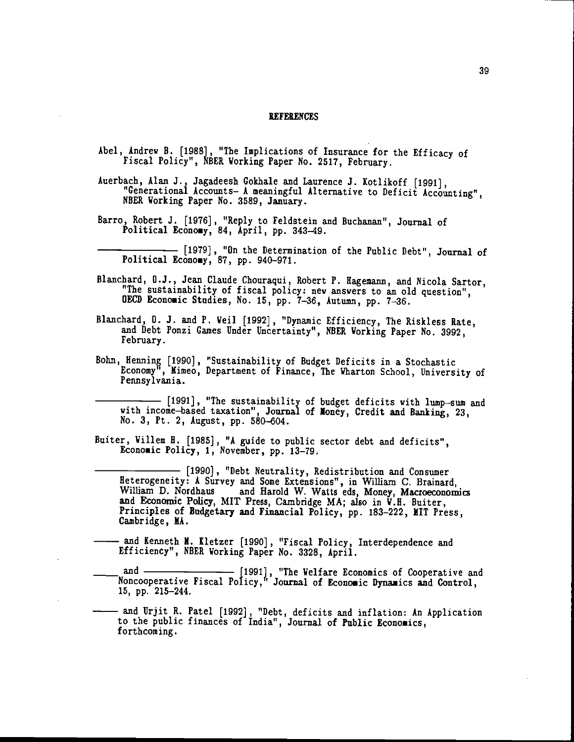#### **REFERENCES**

- Abel, Andrew B. [1988], "The Implications of Insurance for the Efficacy of Fiscal Policy", NBER Working Paper No. 2517, February.
- Auerbach, Alan J., Jagadeesh Cokhale and Laurence J. Kotlikoff [1991), "Generational Accounts— A meaningful Alternative to Deficit Accounting", NBER Working Paper No. 3589, January.
- Barro, Robert J. [1976] , "Reply to Feldstein and Buchanan", Journal of Political Economy, 84, April, pp. 343-49.
	- [1979], "On the Determination of the Public Debt", Journal of  $\texttt{r}_\texttt{out}$   $\texttt{r}_\texttt{c}$  and  $\texttt{r}_\texttt{out}$ ,  $\texttt{r}_\texttt{out}$ ,  $\texttt{r}_\texttt{out}$ ,  $\texttt{r}_\texttt{out}$ ,  $\texttt{r}_\texttt{out}$ ,  $\texttt{r}_\texttt{out}$ ,  $\texttt{r}_\texttt{out}$ ,  $\texttt{r}_\texttt{out}$ ,  $\texttt{r}_\texttt{out}$ ,  $\texttt{r}_\texttt{out}$ ,  $\texttt{r}_\texttt{out}$ ,  $\texttt{r}_\texttt{$
- Blanchard, O.J., Jean Claude Chouraqui, Robert P. Ragemann, and Nicola Sartor, "The sustainability of fiscal policy: new answers to an old question", OECD Economic Studies, No. 15, pp. 7-36, Autumn, pp. 7-36.
- Blanchard, 0. 3. and P. Veil [1992] , "Dynamic Efficiency, The Riskless Rate, and Debt Ponzi Games Under Uncertainty", NBER Working Paper No. 3992, February.
- Bohn, Henning [1990], "Sustainability of Budget Deficits in a Stochastic Economy", Mimeo, Department of Finance, The Wharton School, University of Pennsylvania.

[1991], "The sustainability of budget deficits with lump-sum and with income-based taxation", Journal of Money, Credit and Banking, 23, No. 3, Pt. 2, August, pp. 580-604.

- Buiter, Willem H. [1985], "A guide to public sector debt and deficits", Economic Policy, 1, November, pp. 13-79.
	- [1990) , "Debt Neutrality, Redistribution and Consumer Heterogeneity: A Survey and Some Extensions", in William C. Brainard, William D. Nordhaus and Harold W. Watts eds, Money, Maaoeconomics and Economic Policy, MIT Press, Cambridge MA; also in V.11. Buiter, Principles of Budgetary and Financial Policy, pp. 183—222, MIT Press, Cambridge, MA.
- and Kenneth M. Kletzer [1990], "Fiscal Policy, Interdependence and Efficiency", NBER Working Paper No. 3328, April.
- and and [1991], "The Welfare Economics of Cooperative and Noncooperative Fiscal Policy," Journal of Economic Dynamics and Control, 15, pp. 215—244.
- and Urjit R. Patel [1992], "Debt, deficits and inflation: An Application to the public finances of India", Journal of Public Economics, forthcoming.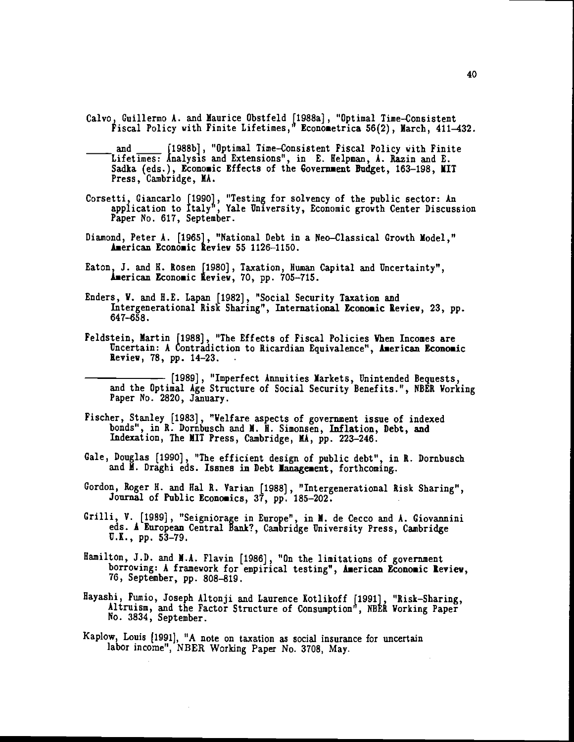- Calvo, Guillermo A. and Maurice Obstfeld [1988a], "Optimal Time-Consistent Fiscal Policy with Finite Lifetimes," Econometrica 56(2), March, 411-432.
- and [1988b], "Optimal Time-Consistent Fiscal Policy with Finite Lifetimes: Analysis and Extensions", in E. Helpman, A. Razin and E. Sadka (eds.), Economic Effects of the Government Budget, 163-198, MIT Press, Cambridge, MA.
- Corsetti, Giancarlo [1990], "Testing for solvency of the public sector: An application to Italy', Yale University, Economic growth Center Discussion raper No. 617, September.
- Diamond, Peter A. [1965], "National Debt in a Neo—Classical Growth Model," American Economic Review 55 1126-1150.
- Eaton, J. and H. Rosen [1980], Taxation, Human Capital and Uncertainty", American Economic Review, 70, pp. 705-715.
- Enders, V. and H.E. Lapan [1982], "Social Security Taxation and Intergenerational Risk Sharing", International Economic Review, 23, pp. 647-658.
- Feldstein, Martin [1988], "The Effects of Fiscal Policies When Incomes are Uncertain: A Contradiction to Ricardian Equivalence", American Economic Review, 78, pp. 14—23.

- [1989], "Imperfect Annuities Markets, Unintended Bequests, and the Optimal Age Structure of Social Security Benefits.", NBER Working Paper No. 2820, January.

- Fischer, Stanley [1983] , "Welfare aspects of government issue of indexed bonds", in R. Dornbusch and M. H. Simonsen, Inflation, Debt, and Indexation, The MIT Press, Cambridge, MA, pp. 223—246.
- Gale, Douglas [1990], "The efficient design of public debt", in R. Dornbusch and M. Draghi eds. Issnes in Debt Management, forthcoming.
- Gordon, Roger H. and Hal R. Varian [1988], "Intergenerational Risk Sharing", Journal of Public Economics, 37, pp. 185-202.
- Grilli, V. [1989], "Seigniorage in Europe", in M. de Cecco and A. Giovannini eds. A European Central Bank?, Cambridge University Press, Cambridge U.K., pp. 53—79.
- Hamilton, J.D. and M.A. Flavin [1986], "On the limitations of government borrowing: A framework for empirical testing", American Economic Review, 76, September, pp. 808-819.
- Hayashi, Fumio, Joseph Altonji and Laurence Kotlikoff [1991], "Risk-Sharing, Altruism, and the Factor Structure of Consumption", NBER Working Paper No. 3834, September.
- Kaplow, Louis [1991], "A note on taxation as social insurance for uncertain labor income", NBER Working Paper No. 3708, May.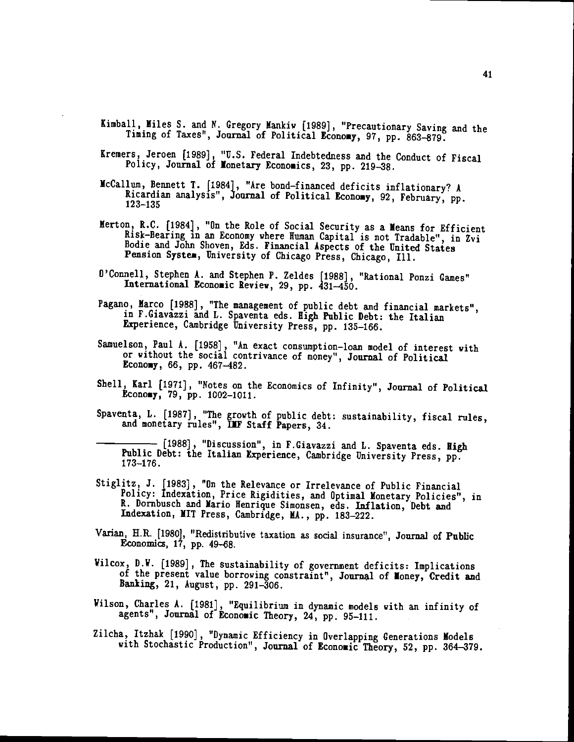- Kimball, Miles S. and N. Gregory Mankiw [1989], "Precautionary Saving and the Timing of Taxes", Journal of Political Economy, 97, pp. 863-879.
- Kremers, Jeroen [1989], "U.S. Federal Indebtedness and the Conduct of Fiscal Policy, Journal of Monetary Economics, 23, pp. 219-38.
- McCallum, Bennett T. [1984}, "Are bond—financed deficits inflationary? A Ricardian analysis", Journal of Political Economy, 92, February, pp.<br>123-135
- Merton, R.C. [1984], "On the Role of Social Security as a Means for Efficient Risk-Bearing in an Economy where Human Capital is not Tradable", in Zvi Bodie and John Shoven, Eds. Financial Aspects of the United States Pension System, University of Chicago Press, Chicago, Ill.
- O'Connell, Stephen A. and Stephen P. Zeldes [1988], "Rational Ponzi Games" International Economic Review, 29, pp. 431—450.
- Pagano, Marco [1988), "The management of public debt and financial markets", in F.Giavazzi and L. Spaventa eds. High Public Debt: the Italian Experience, Cambridge University Press, pp. 135—166.
- Samuelson, Paul A. (1958], "An exact consumption—loan model of interest with or without the social contrivance of money", Journal of Political Economy, 66, pp. 467—482.
- Shell, Karl [1971], "Notes on the Economics of Infinity", Journal of Political Economy, 79, pp. 1002—1011.
- Spaventa, L. [1987], "The grovth of public debt: sustainability, fiscal rules, and monetary rules", IIF Staff Papers, 34.

[1988], "Discussion", in F.Giavazzi and L. Spaventa eds. High Public Debt: the Italian Experience, Cambridge University Press, pp. 173-176.

- Stiglitz, J. f1983] , "On the Relevance or Irrelevance of Public Financial Policy: Indexation, Price Rigidities, and Optimal Monetary Policies", in K. Dornbusch and Mario Henrique Simonsen, eds. Inflation, Debt and Indention, MIT Press, Cambridge, IA., pp. 183—222.
- Varian, H.R. [1980J, "Redistributive taxation as social insurance", Journal of Public Economics, 17, pp. 49—68.
- Vilcox, D.V. [1989] , The sustainability of government deficits: Implications of the present value borrowing constraint", Journal of Money, Credit and Banking, 21, August, pp. 291—306.
- Vilson, Charles A. [1981], "Equilibrium in dynamic models with an infinity of agents", Journal of Economic Theory, 24, pp. 95—111.
- Zilcha, Itzhak [1990] , "Dynamic Efficiency in Overlapping Generations Models with Stochastic Production", Journal of Economic Theory, 52, pp. 364—379.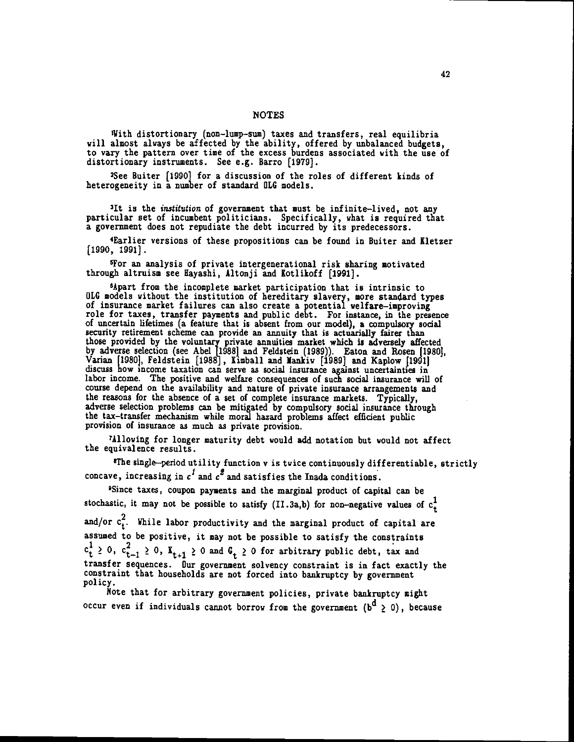**NOTES** 

With distortionary (non-lump-sum) taxes and transfers, real equilibria<br>will almost always be affected by the ability, offered by unbalanced budgets,<br>to vary the pattern over time of the excess burdens associated with the u distortionary instruments. See e.g. Barro [1979].

2See Buiter [1990] for a discussion of the roles of different kinds of heterogeneity in a number of standard OLG models.

31t is the institution of government that must be infinite—lived, not any particular set of incumbent politicians. Specifically, what is required that a government does not repudiate the debt incurred by its predecessors.

4Earlier versions of these propositions can be found in Buiter and Kletzer [1990, 1991].

'For an analysis of private intergenerational risk sharing motivated through altruism see Hayashi, Altonji and Kotlikoff [1991].

<sup>6</sup>Apart from the incomplete market participation that is intrinsic to OLG models without the institution of hereditary slavery, more standard types OLG models without the institution of hereditary slavery, more standard types of insurance market failures can also create a potential welfare—improving role for taxes, transfer payments and public debt. For instance, in the presence of uncertain lifetimes (a feature that is absent from our model), a compulsory social security retirement scheme can provide an annuity that those provided by the voluntary private annuities market which is adversely affected by adverse selection (see Abel [1988] and Feldstein (1989)). Eaton and Rosen [1980], Varian [1980], Feldstein [1988], Kimball and Mankiw [1989] and Kaplow [1991] <sup>11</sup><br>discuss how income taxation can serve as social insurance against uncertainties in labor income. The positive and welfare consequences of such social insurance will of course depend on the availability and nature of private insurance arrangements and the reasons for the absence of a set of complete insurance markets. Typically, adverse selection problems can be mitigated by compulsory social insurance through the tax-transfer mechanism while moral hazard problems affect efficient public provision of insurance as much as private provision.

7Alloving for longer maturity debt would add notation but would not affect the equivalence results.

'The single—period utility function v is twice continuously differentiable, strictly concave, increasing in  $c^1$  and  $c^2$  and satisfies the Inada conditions.

5Since taxes, coupon payments and the marginal product of capital can be stochastic, it may not be possible to satisfy (II.3a,b) for non-negative values of  $c<sub>+</sub><sup>1</sup>$ and/or  $c_t^2$ . While labor productivity and the marginal product of capital are assumed to be positive, it may not be possible to satisfy the constraints  $c_t^1 \geq 0$ ,  $c_{t-1}^2 \geq 0$ ,  $K_{t+1} \geq 0$  and  $G_t \geq 0$  for arbitrary public debt, tax and transfer sequences. Our government solvency constraint is in fact exactly the constraint that households are not forced into bankruptcy by government policy.

Note that for arbitrary government policies, private bankruptcy might occur even if individuals cannot borrow from the government  $(b^d \ge 0)$ , because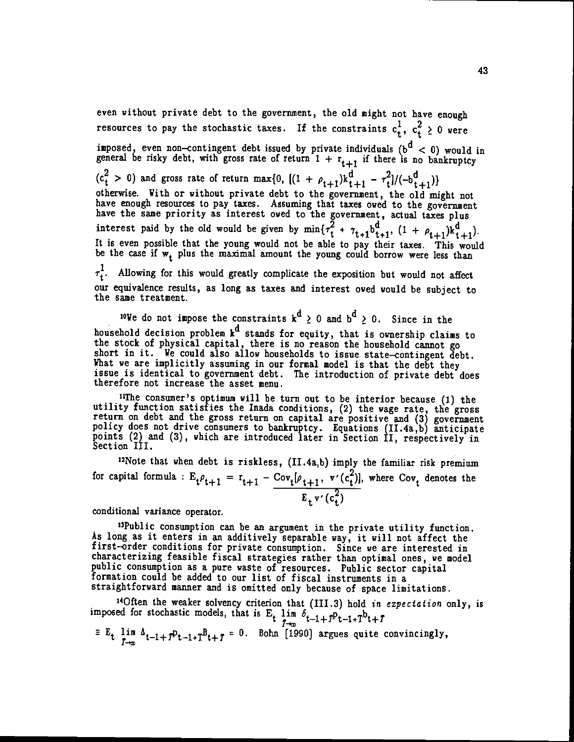even without private debt to the government, the old might not have enough resources to pay the stochastic taxes. If the constraints  $c_t^1, c_t^2 \geq 0$  were imposed, even non-contingent debt issued by private individuals ( $b^d < 0$ ) would in general be risky debt, with gross rate of return  $1 + r_{t+1}$  if there is no bankruptcy  $(c_t^2 > 0)$  and gross rate of return max{0,  $[(1 + \rho_{t+1})k_{t+1}^d - \tau_t^2]/(-b_{t+1}^d)]$ <br>otherwise. With or without private debt to the government, the old might not otherwise. With or without private debt to the government, the old might not<br>have enough resources to pay taxes. Assuming that taxes owed to the government<br>have the same priority as interest owed to the government, actual interest paid by the old would be given by  $\min\{\tau_t^2 + \tau_{t+1}b_{t+1}^d, (1 + \rho_{t+1})k_{t+1}^d\}.$ It is even possible that the young would not be able to pay their taxes. This would be the case if  $w_t$  plus the maximal amount the young could borrow were less than

 $\tau_t^1$ . Allowing for this would greatly complicate the exposition but would not affect our equivalence results, as long as taxes and interest owed would be subject to the same treatment.

<sup>10</sup>We do not impose the constraints  $k^d \geq 0$  and  $b^d \geq 0$ . Since in the household decision problem  $k^u$  stands for equity, that is ownership claims to the stock of physical capital, there is no reason the household cannot go short in it. We could also allow households to issue state—contingent debt. What we are implicitly assuming in our formal model is that the debt they issue is identical to government debt. The introduction of private debt does therefore not increase the asset menu.

11The consumer's optimum will be turn out to be interior because (1) the utility function satisfies the Inada conditions, (2) the wage rate, the gross return on debt and the gross return on capital are positive and (3) government policy does not drive consumers to bankruptcy. Equations (II.4a,b) anticipate points (2) and (3), which are introduced later in Section II, respectively in Section III.

'2Note that when debt is riskless, (II.4a,b) imply the familiar risk premium for capital formula :  $E_t \rho_{t+1} = r_{t+1} - \frac{\text{Cov}_t[\rho_{t+1}, v'(c_t^2)]}{\text{Cov}_t}$ , where  $\text{Cov}_t$  denotes the  $E_t v'(c_t)$ 

conditional variance operator.

'3Public consumption can be an argument in the private utility function. As long as it enters in an additively separable way, it will not affect the first—order conditions for private consumption. Since we are interested in characterizing feasible fiscal strategies rather than optimal ones, we model public consumption as a pure waste of resources. Public sector capital formation could be added to our list of fiscal instruments in a straightforward manner and is omitted only because of space limitations.

<sup>14</sup>Often the weaker solvency criterion that (III.3) hold in expectation only, is imposed for stochastic models, that is  $E_t$   $\lim_{T\to\infty} \delta_{t-1+T}P_{t-1+T}b_{t+T}$ 

 $E_t$   $\lim_{T\to\infty}$   $\Delta_{t-1+T}P_{t-1+T}B_{t+T} = 0$ . Bohn [1990] argues quite convincingly,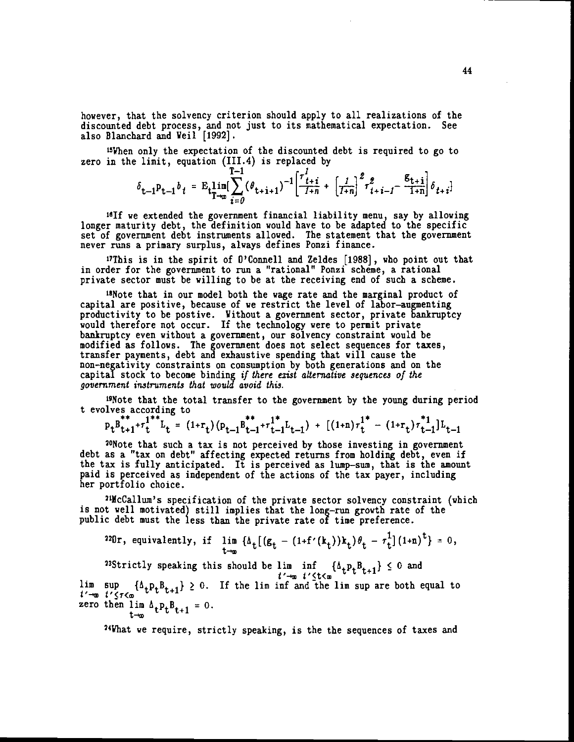however, that the solvency criterion should apply to all realizations of the discounted debt process, and not just to its mathematical expectation. See also Blanchard and Weil [1992].

<sup>15</sup>When only the expectation of the discounted debt is required to go to zero in the limit, equation (III.4) is replaced by

$$
\delta_{t-1}P_{t-1}b_t = E_t \lim_{T \to \infty} \left[ \sum_{i=0}^{t-1} (\theta_{t+i+1})^{-1} \left[ \frac{\tau_{t+i}^i}{1+n} + \left[ \frac{1}{1+n} \right]^2 \tau_{t+i-1}^2 - \frac{E_{t+i}}{1+n} \right] \delta_{t+i} \right]
$$

161f we extended the government financial liability menu, say by allowing longer maturity debt, the definition would have to be adapted to the specific set of government debt instruments allowed. The statement that the government never runs a primary surplus, always defines Ponzi finance.

<sup>17</sup>This is in the spirit of  $0$ 'Connell and Zeldes  $[1988]$ , who point out that in order for the government to run a "rational" Ponzi scheme, a rational private sector must be willing to be at the receiving end of such a scheme.

<sup>18</sup>Note that in our model both the wage rate and the marginal product of capital are positive, because of we restrict the level of labor—augmenting productivity to be postive. Without a government sector, private bankruptcy would therefore not occur. If the technology were to permit private bankruptcy even without a government, our solvency constraint would be modified as follows. The government does not select sequences for taxes, transfer payments, debt and exhaustive spending that will cause the non—negativity constraints on consumption by both generations and on the capital stock to become binding if there exist alternative sequences of the government instruments that would avoid this.

'9Note that the total transfer to the government by the young during period t evolves according to

$$
p_t B_{t+1}^{**} + r_t^{1**} L_t = (1 + r_t) (p_{t-1} B_{t-1}^{**} + r_{t-1}^{1*} L_{t-1}) + [(1 + n) r_t^{1*} - (1 + r_t) r_{t-1}^{1*}] L_{t-1}
$$

"Note that such a tax is not perceived by those investing in government debt as a "tax on debt" affecting expected returns from holding debt, even if the tax is fully anticipated. It is perceived as lump—sum, that is the amount paid is perceived as independent of the actions of the tax payer, including her portfolio choice.

21lcCallum's specification of the private sector solvency constraint (which is not well motivated) still implies that the long—rim growth rate of the public debt must the less than the private rate of time preference.

$$
^{220}r, \text{ equivalently, if } \lim_{t\to\infty} \{\Delta_t \big[ (g_t - (1+f'(k_t))k_t) \theta_t - \tau_t^1 \big](1+n)^t \} = 0,
$$
\n
$$
^{23}Strictly speaking this should be  $\lim_{t\to\infty} \inf_{t'\leq t\leq m} \{\Delta_t p_t B_{t+1}\} \leq 0$  and  
\n $\lim_{t\to\infty} \sup_{t'\leq t\leq m} \{\Delta_t p_t B_{t+1}\} \geq 0$ . If the  $\lim_{t\to\infty} \inf_{t\in\infty} \text{ and the } \lim_{t\to\infty} \text{ are both equal to}$   
\nzero then  $\lim_{t\to\infty} \Delta_t p_t B_{t+1} = 0$ .
$$

24What we require, strictly speaking, is the the sequences of taxes and